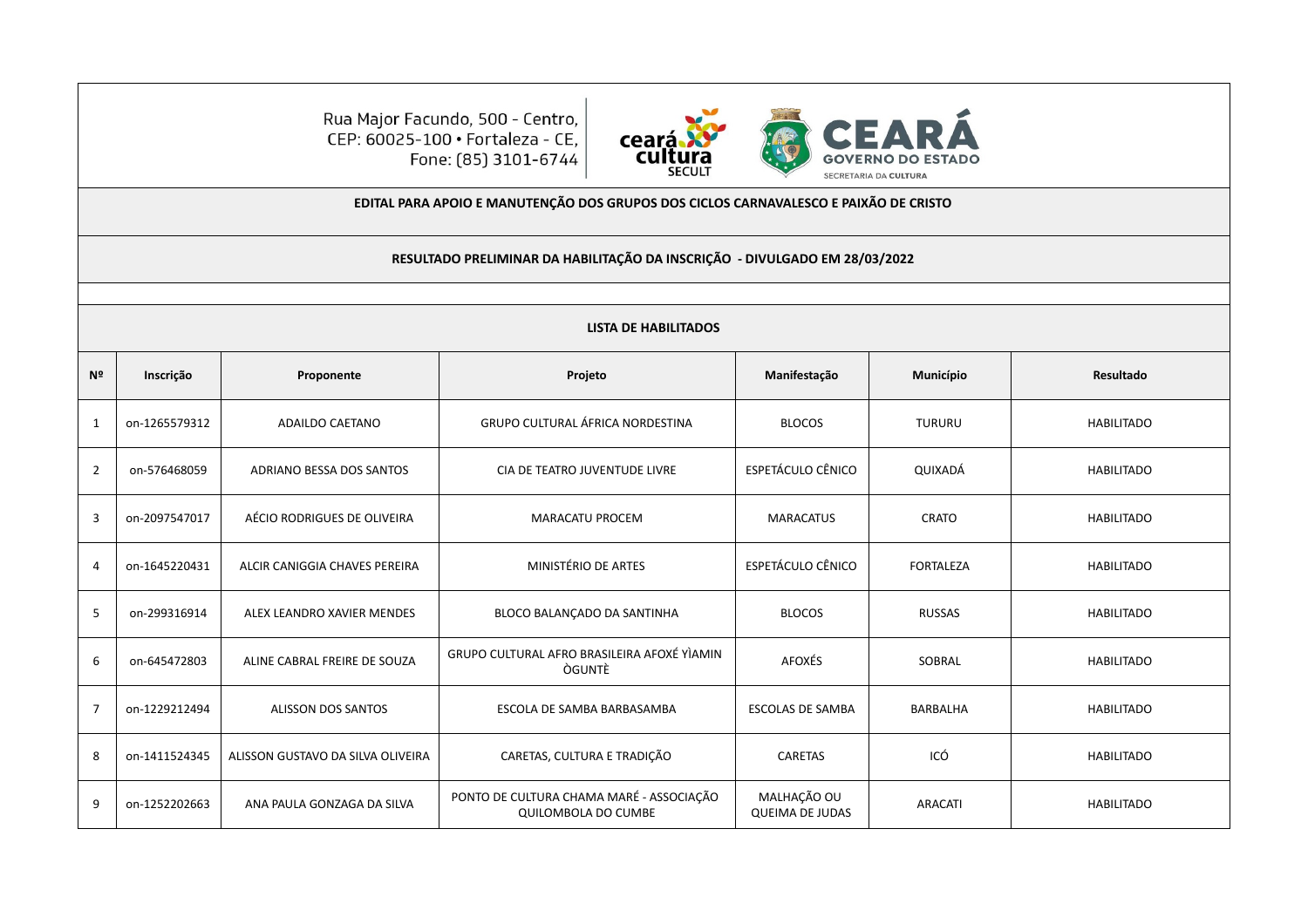Rua Major Facundo, 500 - Centro,<br>CEP: 60025-100 • Fortaleza - CE, Fone: (85) 3101-6744



**EDITAL PARA APOIO E MANUTENÇÃO DOS GRUPOS DOS CICLOS CARNAVALESCO E PAIXÃO DE CRISTO**

## **RESULTADO PRELIMINAR DA HABILITAÇÃO DA INSCRIÇÃO - DIVULGADO EM 28/03/2022**

|                | <b>LISTA DE HABILITADOS</b> |                                   |                                                                 |                                       |                  |                   |  |
|----------------|-----------------------------|-----------------------------------|-----------------------------------------------------------------|---------------------------------------|------------------|-------------------|--|
| Nº             | Inscrição                   | Proponente                        | Projeto                                                         | Manifestação                          | Município        | Resultado         |  |
| $\mathbf{1}$   | on-1265579312               | ADAILDO CAETANO                   | <b>GRUPO CULTURAL ÁFRICA NORDESTINA</b>                         | <b>BLOCOS</b>                         | TURURU           | <b>HABILITADO</b> |  |
| $\overline{2}$ | on-576468059                | ADRIANO BESSA DOS SANTOS          | CIA DE TEATRO JUVENTUDE LIVRE                                   | ESPETÁCULO CÊNICO                     | QUIXADÁ          | <b>HABILITADO</b> |  |
| $\overline{3}$ | on-2097547017               | AÉCIO RODRIGUES DE OLIVEIRA       | <b>MARACATU PROCEM</b>                                          | <b>MARACATUS</b>                      | <b>CRATO</b>     | <b>HABILITADO</b> |  |
| $\overline{4}$ | on-1645220431               | ALCIR CANIGGIA CHAVES PEREIRA     | MINISTÉRIO DE ARTES                                             | <b>ESPETÁCULO CÊNICO</b>              | <b>FORTALEZA</b> | <b>HABILITADO</b> |  |
| 5              | on-299316914                | ALEX LEANDRO XAVIER MENDES        | BLOCO BALANÇADO DA SANTINHA                                     | <b>BLOCOS</b>                         | <b>RUSSAS</b>    | <b>HABILITADO</b> |  |
| 6              | on-645472803                | ALINE CABRAL FREIRE DE SOUZA      | GRUPO CULTURAL AFRO BRASILEIRA AFOXÉ YÌAMIN<br><b>OGUNTE</b>    | AFOXÉS                                | SOBRAL           | <b>HABILITADO</b> |  |
| $\overline{7}$ | on-1229212494               | <b>ALISSON DOS SANTOS</b>         | ESCOLA DE SAMBA BARBASAMBA                                      | <b>ESCOLAS DE SAMBA</b>               | <b>BARBALHA</b>  | <b>HABILITADO</b> |  |
| 8              | on-1411524345               | ALISSON GUSTAVO DA SILVA OLIVEIRA | CARETAS, CULTURA E TRADIÇÃO                                     | <b>CARETAS</b>                        | ICÓ              | <b>HABILITADO</b> |  |
| 9              | on-1252202663               | ANA PAULA GONZAGA DA SILVA        | PONTO DE CULTURA CHAMA MARÉ - ASSOCIAÇÃO<br>QUILOMBOLA DO CUMBE | MALHAÇÃO OU<br><b>QUEIMA DE JUDAS</b> | <b>ARACATI</b>   | <b>HABILITADO</b> |  |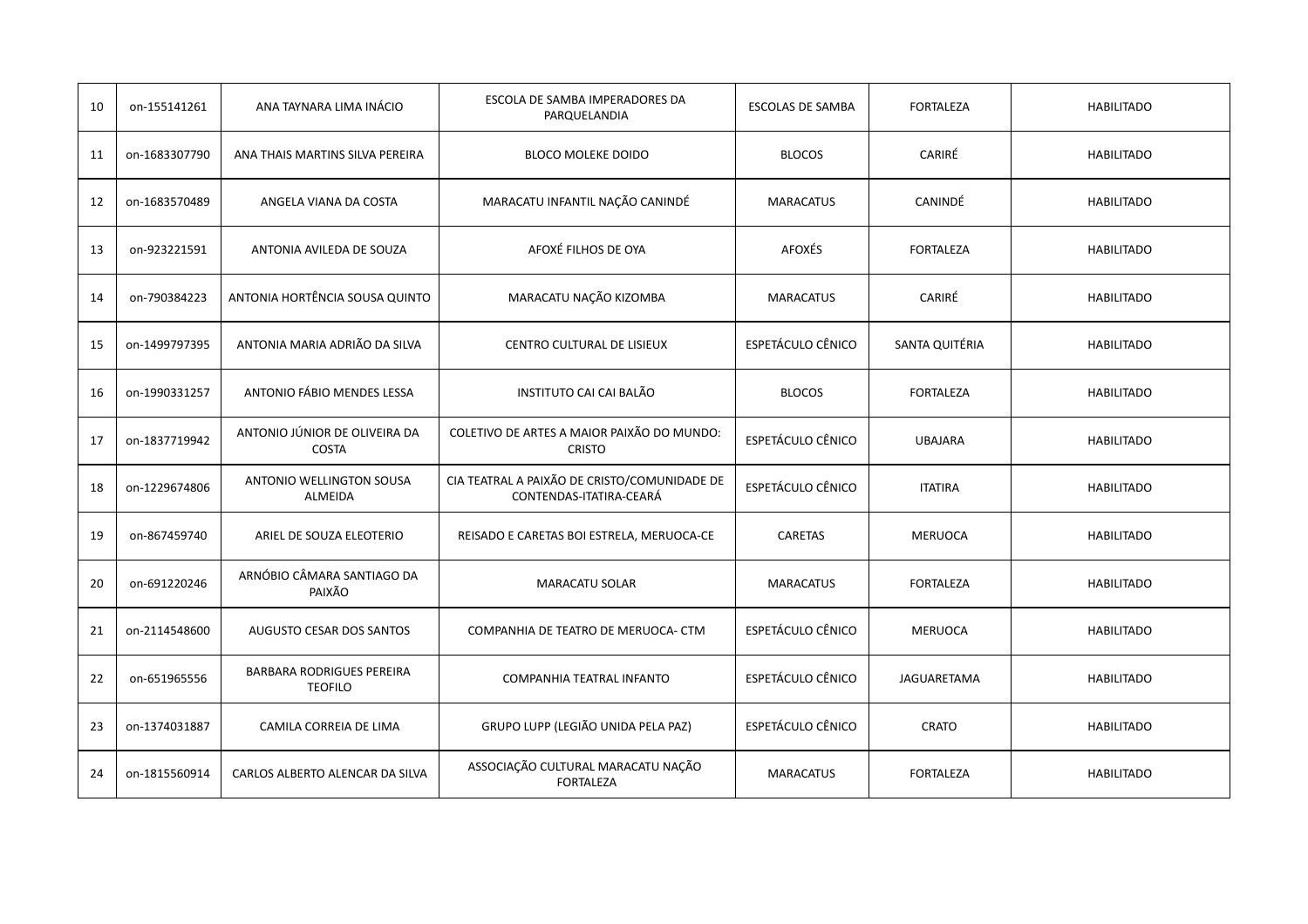| 10 | on-155141261  | ANA TAYNARA LIMA INÁCIO                            | ESCOLA DE SAMBA IMPERADORES DA<br>PARQUELANDIA                          | <b>ESCOLAS DE SAMBA</b>  | <b>FORTALEZA</b>   | <b>HABILITADO</b> |
|----|---------------|----------------------------------------------------|-------------------------------------------------------------------------|--------------------------|--------------------|-------------------|
| 11 | on-1683307790 | ANA THAIS MARTINS SILVA PEREIRA                    | <b>BLOCO MOLEKE DOIDO</b>                                               | <b>BLOCOS</b>            | CARIRÉ             | <b>HABILITADO</b> |
| 12 | on-1683570489 | ANGELA VIANA DA COSTA                              | MARACATU INFANTIL NAÇÃO CANINDÉ                                         | <b>MARACATUS</b>         | CANINDÉ            | <b>HABILITADO</b> |
| 13 | on-923221591  | ANTONIA AVILEDA DE SOUZA                           | AFOXÉ FILHOS DE OYA                                                     | <b>AFOXÉS</b>            | <b>FORTALEZA</b>   | <b>HABILITADO</b> |
| 14 | on-790384223  | ANTONIA HORTÊNCIA SOUSA QUINTO                     | MARACATU NAÇÃO KIZOMBA                                                  | <b>MARACATUS</b>         | CARIRÉ             | <b>HABILITADO</b> |
| 15 | on-1499797395 | ANTONIA MARIA ADRIÃO DA SILVA                      | CENTRO CULTURAL DE LISIEUX                                              | <b>ESPETÁCULO CÊNICO</b> | SANTA QUITÉRIA     | <b>HABILITADO</b> |
| 16 | on-1990331257 | ANTONIO FÁBIO MENDES LESSA                         | INSTITUTO CAI CAI BALÃO                                                 | <b>BLOCOS</b>            | <b>FORTALEZA</b>   | <b>HABILITADO</b> |
| 17 | on-1837719942 | ANTONIO JÚNIOR DE OLIVEIRA DA<br><b>COSTA</b>      | COLETIVO DE ARTES A MAIOR PAIXÃO DO MUNDO:<br><b>CRISTO</b>             | ESPETÁCULO CÊNICO        | <b>UBAJARA</b>     | <b>HABILITADO</b> |
| 18 | on-1229674806 | ANTONIO WELLINGTON SOUSA<br>ALMEIDA                | CIA TEATRAL A PAIXÃO DE CRISTO/COMUNIDADE DE<br>CONTENDAS-ITATIRA-CEARÁ | ESPETÁCULO CÊNICO        | <b>ITATIRA</b>     | <b>HABILITADO</b> |
| 19 | on-867459740  | ARIEL DE SOUZA ELEOTERIO                           | REISADO E CARETAS BOI ESTRELA, MERUOCA-CE                               | <b>CARETAS</b>           | <b>MERUOCA</b>     | <b>HABILITADO</b> |
| 20 | on-691220246  | ARNÓBIO CÂMARA SANTIAGO DA<br>PAIXÃO               | MARACATU SOLAR                                                          | <b>MARACATUS</b>         | <b>FORTALEZA</b>   | <b>HABILITADO</b> |
| 21 | on-2114548600 | <b>AUGUSTO CESAR DOS SANTOS</b>                    | COMPANHIA DE TEATRO DE MERUOCA- CTM                                     | <b>ESPETÁCULO CÊNICO</b> | <b>MERUOCA</b>     | <b>HABILITADO</b> |
| 22 | on-651965556  | <b>BARBARA RODRIGUES PEREIRA</b><br><b>TEOFILO</b> | COMPANHIA TEATRAL INFANTO                                               | ESPETÁCULO CÊNICO        | <b>JAGUARETAMA</b> | <b>HABILITADO</b> |
| 23 | on-1374031887 | CAMILA CORREIA DE LIMA                             | GRUPO LUPP (LEGIÃO UNIDA PELA PAZ)                                      | ESPETÁCULO CÊNICO        | <b>CRATO</b>       | <b>HABILITADO</b> |
| 24 | on-1815560914 | CARLOS ALBERTO ALENCAR DA SILVA                    | ASSOCIAÇÃO CULTURAL MARACATU NAÇÃO<br><b>FORTALEZA</b>                  | <b>MARACATUS</b>         | <b>FORTALEZA</b>   | <b>HABILITADO</b> |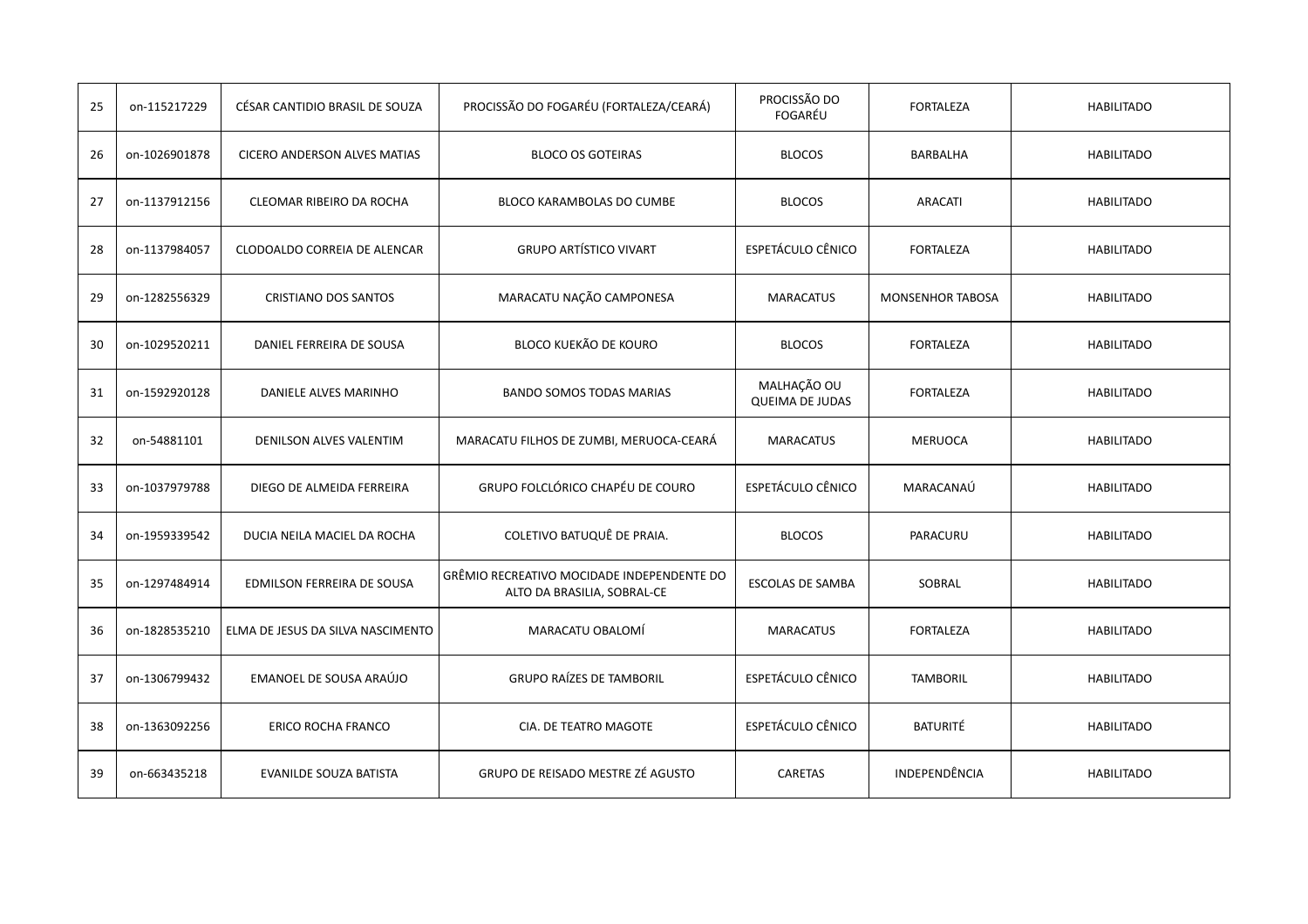| 25 | on-115217229  | CÉSAR CANTIDIO BRASIL DE SOUZA      | PROCISSÃO DO FOGARÉU (FORTALEZA/CEARÁ)                                    | PROCISSÃO DO<br>FOGARÉU               | <b>FORTALEZA</b>        | <b>HABILITADO</b> |
|----|---------------|-------------------------------------|---------------------------------------------------------------------------|---------------------------------------|-------------------------|-------------------|
| 26 | on-1026901878 | <b>CICERO ANDERSON ALVES MATIAS</b> | <b>BLOCO OS GOTEIRAS</b>                                                  | <b>BLOCOS</b>                         | BARBALHA                | <b>HABILITADO</b> |
| 27 | on-1137912156 | CLEOMAR RIBEIRO DA ROCHA            | BLOCO KARAMBOLAS DO CUMBE                                                 | <b>BLOCOS</b>                         | <b>ARACATI</b>          | <b>HABILITADO</b> |
| 28 | on-1137984057 | CLODOALDO CORREIA DE ALENCAR        | <b>GRUPO ARTÍSTICO VIVART</b>                                             | ESPETÁCULO CÊNICO                     | <b>FORTALEZA</b>        | <b>HABILITADO</b> |
| 29 | on-1282556329 | <b>CRISTIANO DOS SANTOS</b>         | MARACATU NAÇÃO CAMPONESA                                                  | <b>MARACATUS</b>                      | <b>MONSENHOR TABOSA</b> | <b>HABILITADO</b> |
| 30 | on-1029520211 | DANIEL FERREIRA DE SOUSA            | BLOCO KUEKÃO DE KOURO                                                     | <b>BLOCOS</b>                         | <b>FORTALEZA</b>        | <b>HABILITADO</b> |
| 31 | on-1592920128 | DANIELE ALVES MARINHO               | <b>BANDO SOMOS TODAS MARIAS</b>                                           | MALHAÇÃO OU<br><b>QUEIMA DE JUDAS</b> | <b>FORTALEZA</b>        | <b>HABILITADO</b> |
| 32 | on-54881101   | DENILSON ALVES VALENTIM             | MARACATU FILHOS DE ZUMBI, MERUOCA-CEARÁ                                   | <b>MARACATUS</b>                      | <b>MERUOCA</b>          | <b>HABILITADO</b> |
| 33 | on-1037979788 | DIEGO DE ALMEIDA FERREIRA           | GRUPO FOLCLÓRICO CHAPÉU DE COURO                                          | ESPETÁCULO CÊNICO                     | MARACANAÚ               | <b>HABILITADO</b> |
| 34 | on-1959339542 | DUCIA NEILA MACIEL DA ROCHA         | COLETIVO BATUQUÊ DE PRAIA.                                                | <b>BLOCOS</b>                         | PARACURU                | <b>HABILITADO</b> |
| 35 | on-1297484914 | EDMILSON FERREIRA DE SOUSA          | GRÊMIO RECREATIVO MOCIDADE INDEPENDENTE DO<br>ALTO DA BRASILIA, SOBRAL-CE | <b>ESCOLAS DE SAMBA</b>               | SOBRAL                  | <b>HABILITADO</b> |
| 36 | on-1828535210 | ELMA DE JESUS DA SILVA NASCIMENTO   | MARACATU OBALOMÍ                                                          | <b>MARACATUS</b>                      | <b>FORTALEZA</b>        | <b>HABILITADO</b> |
| 37 | on-1306799432 | EMANOEL DE SOUSA ARAÚJO             | <b>GRUPO RAÍZES DE TAMBORIL</b>                                           | ESPETÁCULO CÊNICO                     | <b>TAMBORIL</b>         | <b>HABILITADO</b> |
| 38 | on-1363092256 | ERICO ROCHA FRANCO                  | CIA. DE TEATRO MAGOTE                                                     | ESPETÁCULO CÊNICO                     | <b>BATURITÉ</b>         | <b>HABILITADO</b> |
| 39 | on-663435218  | EVANILDE SOUZA BATISTA              | GRUPO DE REISADO MESTRE ZÉ AGUSTO                                         | CARETAS                               | <b>INDEPENDÊNCIA</b>    | <b>HABILITADO</b> |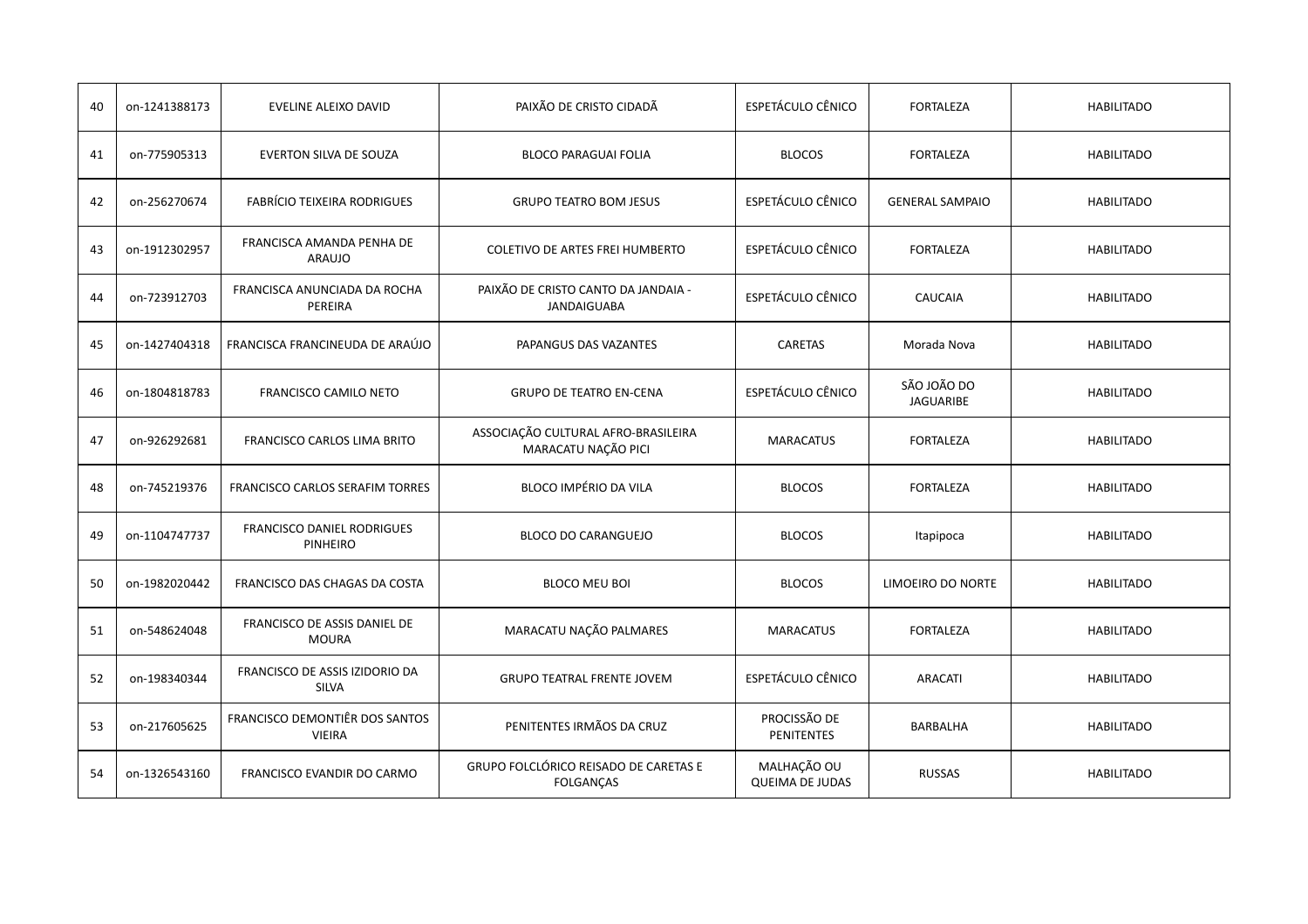| 40 | on-1241388173 | EVELINE ALEIXO DAVID                            | PAIXÃO DE CRISTO CIDADÃ                                    | ESPETÁCULO CÊNICO                     | <b>FORTALEZA</b>                | <b>HABILITADO</b> |
|----|---------------|-------------------------------------------------|------------------------------------------------------------|---------------------------------------|---------------------------------|-------------------|
| 41 | on-775905313  | EVERTON SILVA DE SOUZA                          | <b>BLOCO PARAGUAI FOLIA</b>                                | <b>BLOCOS</b>                         | <b>FORTALEZA</b>                | <b>HABILITADO</b> |
| 42 | on-256270674  | <b>FABRÍCIO TEIXEIRA RODRIGUES</b>              | <b>GRUPO TEATRO BOM JESUS</b>                              | <b>ESPETÁCULO CÊNICO</b>              | <b>GENERAL SAMPAIO</b>          | <b>HABILITADO</b> |
| 43 | on-1912302957 | FRANCISCA AMANDA PENHA DE<br>ARAUJO             | COLETIVO DE ARTES FREI HUMBERTO                            | ESPETÁCULO CÊNICO                     | <b>FORTALEZA</b>                | <b>HABILITADO</b> |
| 44 | on-723912703  | FRANCISCA ANUNCIADA DA ROCHA<br>PEREIRA         | PAIXÃO DE CRISTO CANTO DA JANDAIA -<br><b>JANDAIGUABA</b>  | ESPETÁCULO CÊNICO                     | <b>CAUCAIA</b>                  | <b>HABILITADO</b> |
| 45 | on-1427404318 | FRANCISCA FRANCINEUDA DE ARAÚJO                 | PAPANGUS DAS VAZANTES                                      | CARETAS                               | Morada Nova                     | <b>HABILITADO</b> |
| 46 | on-1804818783 | <b>FRANCISCO CAMILO NETO</b>                    | <b>GRUPO DE TEATRO EN-CENA</b>                             | <b>ESPETÁCULO CÊNICO</b>              | SÃO JOÃO DO<br><b>JAGUARIBE</b> | <b>HABILITADO</b> |
| 47 | on-926292681  | FRANCISCO CARLOS LIMA BRITO                     | ASSOCIAÇÃO CULTURAL AFRO-BRASILEIRA<br>MARACATU NAÇÃO PICI | <b>MARACATUS</b>                      | <b>FORTALEZA</b>                | <b>HABILITADO</b> |
| 48 | on-745219376  | FRANCISCO CARLOS SERAFIM TORRES                 | BLOCO IMPÉRIO DA VILA                                      | <b>BLOCOS</b>                         | <b>FORTALEZA</b>                | <b>HABILITADO</b> |
| 49 | on-1104747737 | FRANCISCO DANIEL RODRIGUES<br>PINHEIRO          | <b>BLOCO DO CARANGUEJO</b>                                 | <b>BLOCOS</b>                         | Itapipoca                       | <b>HABILITADO</b> |
| 50 | on-1982020442 | FRANCISCO DAS CHAGAS DA COSTA                   | <b>BLOCO MEU BOI</b>                                       | <b>BLOCOS</b>                         | LIMOEIRO DO NORTE               | <b>HABILITADO</b> |
| 51 | on-548624048  | FRANCISCO DE ASSIS DANIEL DE<br><b>MOURA</b>    | MARACATU NAÇÃO PALMARES                                    | <b>MARACATUS</b>                      | <b>FORTALEZA</b>                | <b>HABILITADO</b> |
| 52 | on-198340344  | FRANCISCO DE ASSIS IZIDORIO DA<br><b>SILVA</b>  | <b>GRUPO TEATRAL FRENTE JOVEM</b>                          | ESPETÁCULO CÊNICO                     | <b>ARACATI</b>                  | <b>HABILITADO</b> |
| 53 | on-217605625  | FRANCISCO DEMONTIÊR DOS SANTOS<br><b>VIEIRA</b> | PENITENTES IRMÃOS DA CRUZ                                  | PROCISSÃO DE<br><b>PENITENTES</b>     | <b>BARBALHA</b>                 | <b>HABILITADO</b> |
| 54 | on-1326543160 | FRANCISCO EVANDIR DO CARMO                      | GRUPO FOLCLÓRICO REISADO DE CARETAS E<br><b>FOLGANÇAS</b>  | MALHAÇÃO OU<br><b>QUEIMA DE JUDAS</b> | <b>RUSSAS</b>                   | <b>HABILITADO</b> |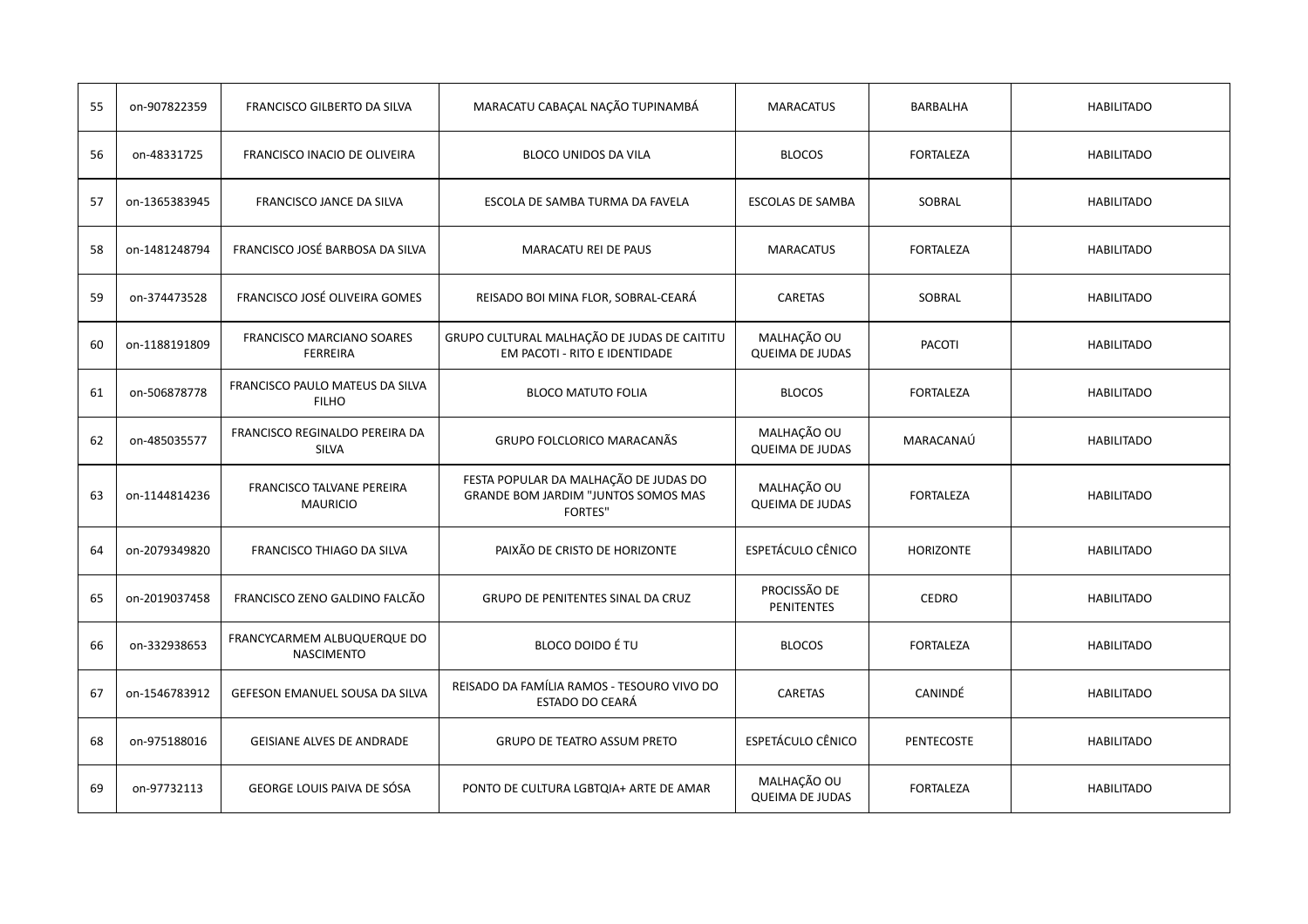| 55 | on-907822359  | FRANCISCO GILBERTO DA SILVA                         | MARACATU CABAÇAL NAÇÃO TUPINAMBÁ                                                               | <b>MARACATUS</b>                      | BARBALHA         | <b>HABILITADO</b> |
|----|---------------|-----------------------------------------------------|------------------------------------------------------------------------------------------------|---------------------------------------|------------------|-------------------|
| 56 | on-48331725   | FRANCISCO INACIO DE OLIVEIRA                        | BLOCO UNIDOS DA VILA                                                                           | <b>BLOCOS</b>                         | FORTALEZA        | <b>HABILITADO</b> |
| 57 | on-1365383945 | FRANCISCO JANCE DA SILVA                            | ESCOLA DE SAMBA TURMA DA FAVELA                                                                | <b>ESCOLAS DE SAMBA</b>               | SOBRAL           | <b>HABILITADO</b> |
| 58 | on-1481248794 | FRANCISCO JOSÉ BARBOSA DA SILVA                     | MARACATU REI DE PAUS                                                                           | <b>MARACATUS</b>                      | <b>FORTALEZA</b> | <b>HABILITADO</b> |
| 59 | on-374473528  | FRANCISCO JOSÉ OLIVEIRA GOMES                       | REISADO BOI MINA FLOR, SOBRAL-CEARÁ                                                            | CARETAS                               | SOBRAL           | <b>HABILITADO</b> |
| 60 | on-1188191809 | <b>FRANCISCO MARCIANO SOARES</b><br><b>FERREIRA</b> | GRUPO CULTURAL MALHAÇÃO DE JUDAS DE CAITITU<br>EM PACOTI - RITO E IDENTIDADE                   | MALHAÇÃO OU<br><b>QUEIMA DE JUDAS</b> | <b>PACOTI</b>    | <b>HABILITADO</b> |
| 61 | on-506878778  | FRANCISCO PAULO MATEUS DA SILVA<br><b>FILHO</b>     | <b>BLOCO MATUTO FOLIA</b>                                                                      | <b>BLOCOS</b>                         | <b>FORTALEZA</b> | <b>HABILITADO</b> |
| 62 | on-485035577  | FRANCISCO REGINALDO PEREIRA DA<br>SILVA             | GRUPO FOLCLORICO MARACANÃS                                                                     | MALHAÇÃO OU<br><b>QUEIMA DE JUDAS</b> | MARACANAÚ        | <b>HABILITADO</b> |
| 63 | on-1144814236 | <b>FRANCISCO TALVANE PEREIRA</b><br><b>MAURICIO</b> | FESTA POPULAR DA MALHAÇÃO DE JUDAS DO<br>GRANDE BOM JARDIM "JUNTOS SOMOS MAS<br><b>FORTES"</b> | MALHAÇÃO OU<br><b>QUEIMA DE JUDAS</b> | <b>FORTALEZA</b> | <b>HABILITADO</b> |
| 64 | on-2079349820 | FRANCISCO THIAGO DA SILVA                           | PAIXÃO DE CRISTO DE HORIZONTE                                                                  | ESPETÁCULO CÊNICO                     | <b>HORIZONTE</b> | <b>HABILITADO</b> |
| 65 | on-2019037458 | FRANCISCO ZENO GALDINO FALCÃO                       | GRUPO DE PENITENTES SINAL DA CRUZ                                                              | PROCISSÃO DE<br><b>PENITENTES</b>     | <b>CEDRO</b>     | <b>HABILITADO</b> |
| 66 | on-332938653  | FRANCYCARMEM ALBUQUERQUE DO<br><b>NASCIMENTO</b>    | BLOCO DOIDO É TU                                                                               | <b>BLOCOS</b>                         | <b>FORTALEZA</b> | <b>HABILITADO</b> |
| 67 | on-1546783912 | GEFESON EMANUEL SOUSA DA SILVA                      | REISADO DA FAMÍLIA RAMOS - TESOURO VIVO DO<br>ESTADO DO CEARÁ                                  | CARETAS                               | CANINDÉ          | <b>HABILITADO</b> |
| 68 | on-975188016  | <b>GEISIANE ALVES DE ANDRADE</b>                    | <b>GRUPO DE TEATRO ASSUM PRETO</b>                                                             | <b>ESPETÁCULO CÊNICO</b>              | PENTECOSTE       | <b>HABILITADO</b> |
| 69 | on-97732113   | GEORGE LOUIS PAIVA DE SÓSA                          | PONTO DE CULTURA LGBTQIA+ ARTE DE AMAR                                                         | MALHAÇÃO OU<br><b>QUEIMA DE JUDAS</b> | <b>FORTALEZA</b> | <b>HABILITADO</b> |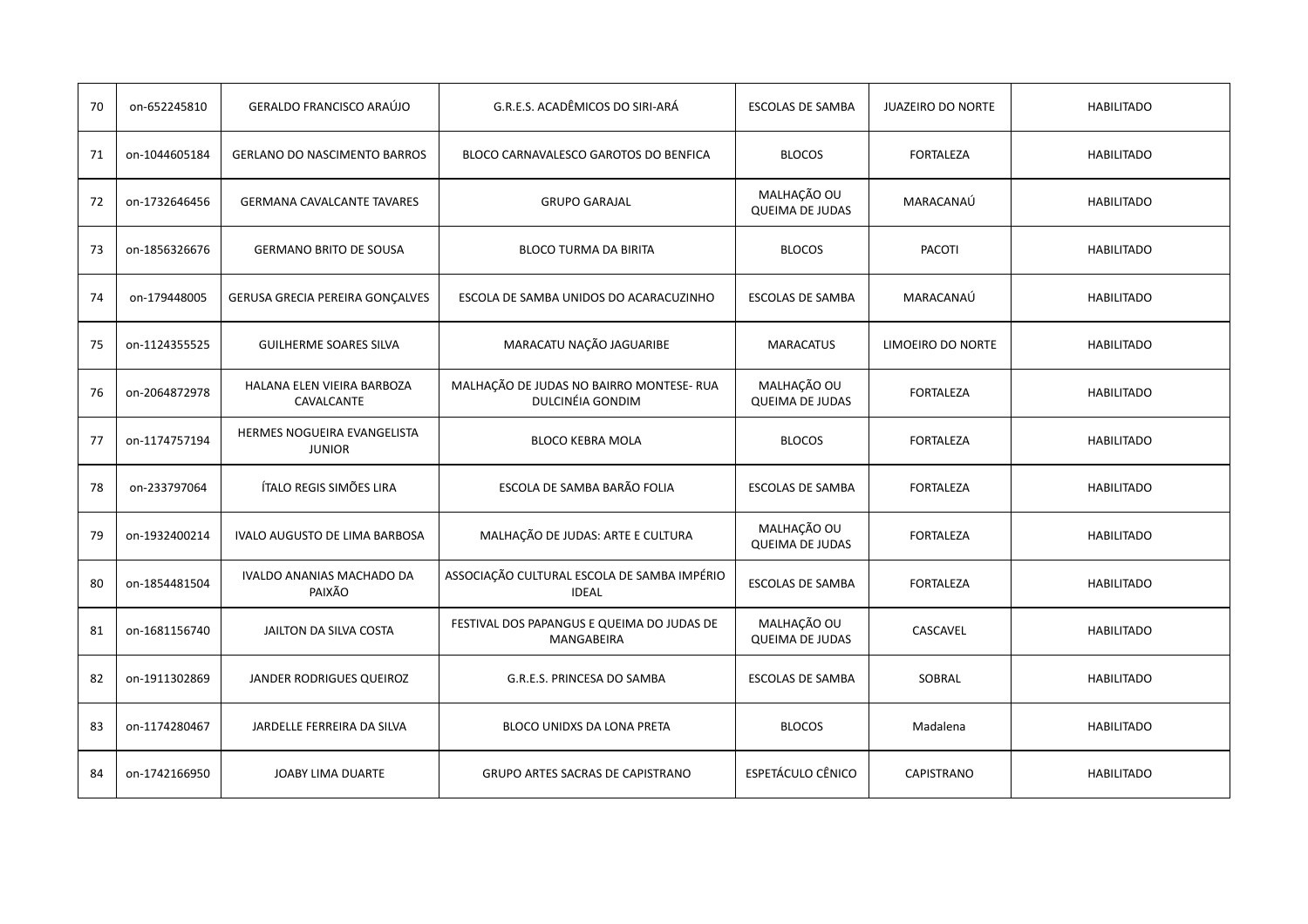| 70 | on-652245810  | GERALDO FRANCISCO ARAÚJO                     | G.R.E.S. ACADÊMICOS DO SIRI-ARÁ                              | <b>ESCOLAS DE SAMBA</b>               | <b>JUAZEIRO DO NORTE</b> | <b>HABILITADO</b> |
|----|---------------|----------------------------------------------|--------------------------------------------------------------|---------------------------------------|--------------------------|-------------------|
| 71 | on-1044605184 | <b>GERLANO DO NASCIMENTO BARROS</b>          | BLOCO CARNAVALESCO GAROTOS DO BENFICA                        | <b>BLOCOS</b>                         | <b>FORTALEZA</b>         | <b>HABILITADO</b> |
| 72 | on-1732646456 | <b>GERMANA CAVALCANTE TAVARES</b>            | <b>GRUPO GARAJAL</b>                                         | MALHAÇÃO OU<br><b>QUEIMA DE JUDAS</b> | MARACANAÚ                | <b>HABILITADO</b> |
| 73 | on-1856326676 | <b>GERMANO BRITO DE SOUSA</b>                | <b>BLOCO TURMA DA BIRITA</b>                                 | <b>BLOCOS</b>                         | PACOTI                   | <b>HABILITADO</b> |
| 74 | on-179448005  | GERUSA GRECIA PEREIRA GONÇALVES              | ESCOLA DE SAMBA UNIDOS DO ACARACUZINHO                       | <b>ESCOLAS DE SAMBA</b>               | MARACANAÚ                | <b>HABILITADO</b> |
| 75 | on-1124355525 | <b>GUILHERME SOARES SILVA</b>                | MARACATU NAÇÃO JAGUARIBE                                     | <b>MARACATUS</b>                      | LIMOEIRO DO NORTE        | <b>HABILITADO</b> |
| 76 | on-2064872978 | HALANA ELEN VIEIRA BARBOZA<br>CAVALCANTE     | MALHAÇÃO DE JUDAS NO BAIRRO MONTESE- RUA<br>DULCINÉIA GONDIM | MALHAÇÃO OU<br><b>QUEIMA DE JUDAS</b> | <b>FORTALEZA</b>         | <b>HABILITADO</b> |
| 77 | on-1174757194 | HERMES NOGUEIRA EVANGELISTA<br><b>JUNIOR</b> | <b>BLOCO KEBRA MOLA</b>                                      | <b>BLOCOS</b>                         | <b>FORTALEZA</b>         | <b>HABILITADO</b> |
| 78 | on-233797064  | ÍTALO REGIS SIMÕES LIRA                      | ESCOLA DE SAMBA BARÃO FOLIA                                  | <b>ESCOLAS DE SAMBA</b>               | <b>FORTALEZA</b>         | <b>HABILITADO</b> |
| 79 | on-1932400214 | IVALO AUGUSTO DE LIMA BARBOSA                | MALHAÇÃO DE JUDAS: ARTE E CULTURA                            | MALHAÇÃO OU<br><b>QUEIMA DE JUDAS</b> | <b>FORTALEZA</b>         | <b>HABILITADO</b> |
| 80 | on-1854481504 | IVALDO ANANIAS MACHADO DA<br>PAIXÃO          | ASSOCIAÇÃO CULTURAL ESCOLA DE SAMBA IMPÉRIO<br><b>IDEAL</b>  | <b>ESCOLAS DE SAMBA</b>               | <b>FORTALEZA</b>         | <b>HABILITADO</b> |
| 81 | on-1681156740 | JAILTON DA SILVA COSTA                       | FESTIVAL DOS PAPANGUS E QUEIMA DO JUDAS DE<br>MANGABEIRA     | MALHAÇÃO OU<br><b>QUEIMA DE JUDAS</b> | CASCAVEL                 | <b>HABILITADO</b> |
| 82 | on-1911302869 | JANDER RODRIGUES QUEIROZ                     | G.R.E.S. PRINCESA DO SAMBA                                   | <b>ESCOLAS DE SAMBA</b>               | SOBRAL                   | <b>HABILITADO</b> |
| 83 | on-1174280467 | JARDELLE FERREIRA DA SILVA                   | BLOCO UNIDXS DA LONA PRETA                                   | <b>BLOCOS</b>                         | Madalena                 | <b>HABILITADO</b> |
| 84 | on-1742166950 | JOABY LIMA DUARTE                            | <b>GRUPO ARTES SACRAS DE CAPISTRANO</b>                      | ESPETÁCULO CÊNICO                     | <b>CAPISTRANO</b>        | <b>HABILITADO</b> |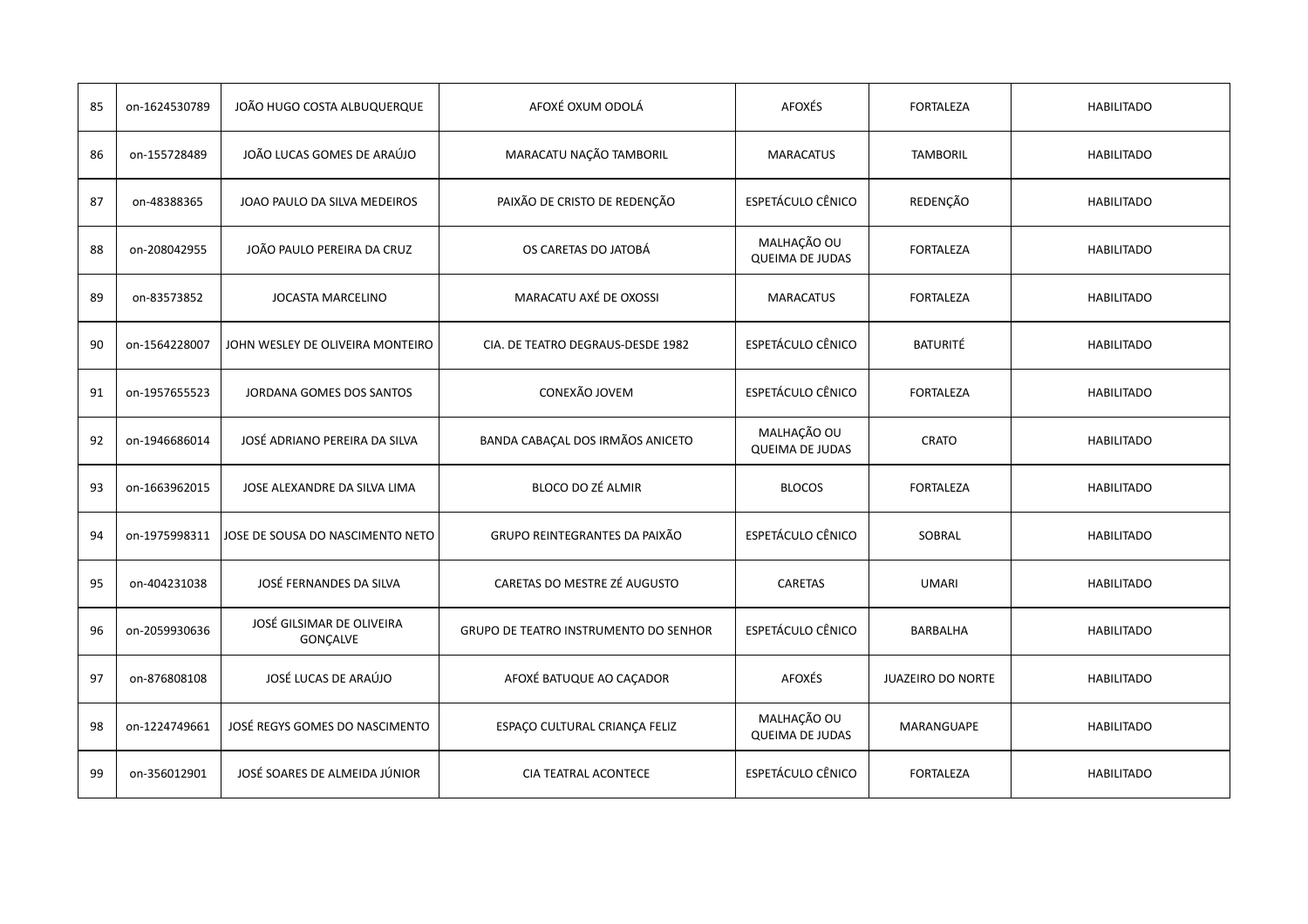| 85 | on-1624530789 | JOÃO HUGO COSTA ALBUQUERQUE           | AFOXÉ OXUM ODOLÁ                             | AFOXÉS                                | <b>FORTALEZA</b>         | <b>HABILITADO</b> |
|----|---------------|---------------------------------------|----------------------------------------------|---------------------------------------|--------------------------|-------------------|
| 86 | on-155728489  | JOÃO LUCAS GOMES DE ARAÚJO            | MARACATU NAÇÃO TAMBORIL                      | <b>MARACATUS</b>                      | <b>TAMBORIL</b>          | <b>HABILITADO</b> |
| 87 | on-48388365   | JOAO PAULO DA SILVA MEDEIROS          | PAIXÃO DE CRISTO DE REDENÇÃO                 | <b>ESPETÁCULO CÊNICO</b>              | REDENÇÃO                 | <b>HABILITADO</b> |
| 88 | on-208042955  | JOÃO PAULO PEREIRA DA CRUZ            | OS CARETAS DO JATOBÁ                         | MALHAÇÃO OU<br><b>QUEIMA DE JUDAS</b> | <b>FORTALEZA</b>         | <b>HABILITADO</b> |
| 89 | on-83573852   | JOCASTA MARCELINO                     | MARACATU AXÉ DE OXOSSI                       | <b>MARACATUS</b>                      | <b>FORTALEZA</b>         | <b>HABILITADO</b> |
| 90 | on-1564228007 | JOHN WESLEY DE OLIVEIRA MONTEIRO      | CIA. DE TEATRO DEGRAUS-DESDE 1982            | <b>ESPETÁCULO CÊNICO</b>              | <b>BATURITÉ</b>          | <b>HABILITADO</b> |
| 91 | on-1957655523 | JORDANA GOMES DOS SANTOS              | CONEXÃO JOVEM                                | ESPETÁCULO CÊNICO                     | <b>FORTALEZA</b>         | <b>HABILITADO</b> |
| 92 | on-1946686014 | JOSÉ ADRIANO PEREIRA DA SILVA         | BANDA CABAÇAL DOS IRMÃOS ANICETO             | MALHAÇÃO OU<br><b>QUEIMA DE JUDAS</b> | <b>CRATO</b>             | <b>HABILITADO</b> |
| 93 | on-1663962015 | JOSE ALEXANDRE DA SILVA LIMA          | BLOCO DO ZÉ ALMIR                            | <b>BLOCOS</b>                         | <b>FORTALEZA</b>         | <b>HABILITADO</b> |
| 94 | on-1975998311 | JOSE DE SOUSA DO NASCIMENTO NETO      | GRUPO REINTEGRANTES DA PAIXÃO                | ESPETÁCULO CÊNICO                     | SOBRAL                   | <b>HABILITADO</b> |
| 95 | on-404231038  | JOSÉ FERNANDES DA SILVA               | CARETAS DO MESTRE ZÉ AUGUSTO                 | CARETAS                               | <b>UMARI</b>             | <b>HABILITADO</b> |
| 96 | on-2059930636 | JOSÉ GILSIMAR DE OLIVEIRA<br>GONÇALVE | <b>GRUPO DE TEATRO INSTRUMENTO DO SENHOR</b> | <b>ESPETÁCULO CÊNICO</b>              | <b>BARBALHA</b>          | <b>HABILITADO</b> |
| 97 | on-876808108  | JOSÉ LUCAS DE ARAÚJO                  | AFOXÉ BATUQUE AO CAÇADOR                     | <b>AFOXÉS</b>                         | <b>JUAZEIRO DO NORTE</b> | <b>HABILITADO</b> |
| 98 | on-1224749661 | JOSÉ REGYS GOMES DO NASCIMENTO        | ESPAÇO CULTURAL CRIANÇA FELIZ                | MALHAÇÃO OU<br><b>QUEIMA DE JUDAS</b> | <b>MARANGUAPE</b>        | <b>HABILITADO</b> |
| 99 | on-356012901  | JOSÉ SOARES DE ALMEIDA JÚNIOR         | <b>CIA TEATRAL ACONTECE</b>                  | ESPETÁCULO CÊNICO                     | <b>FORTALEZA</b>         | <b>HABILITADO</b> |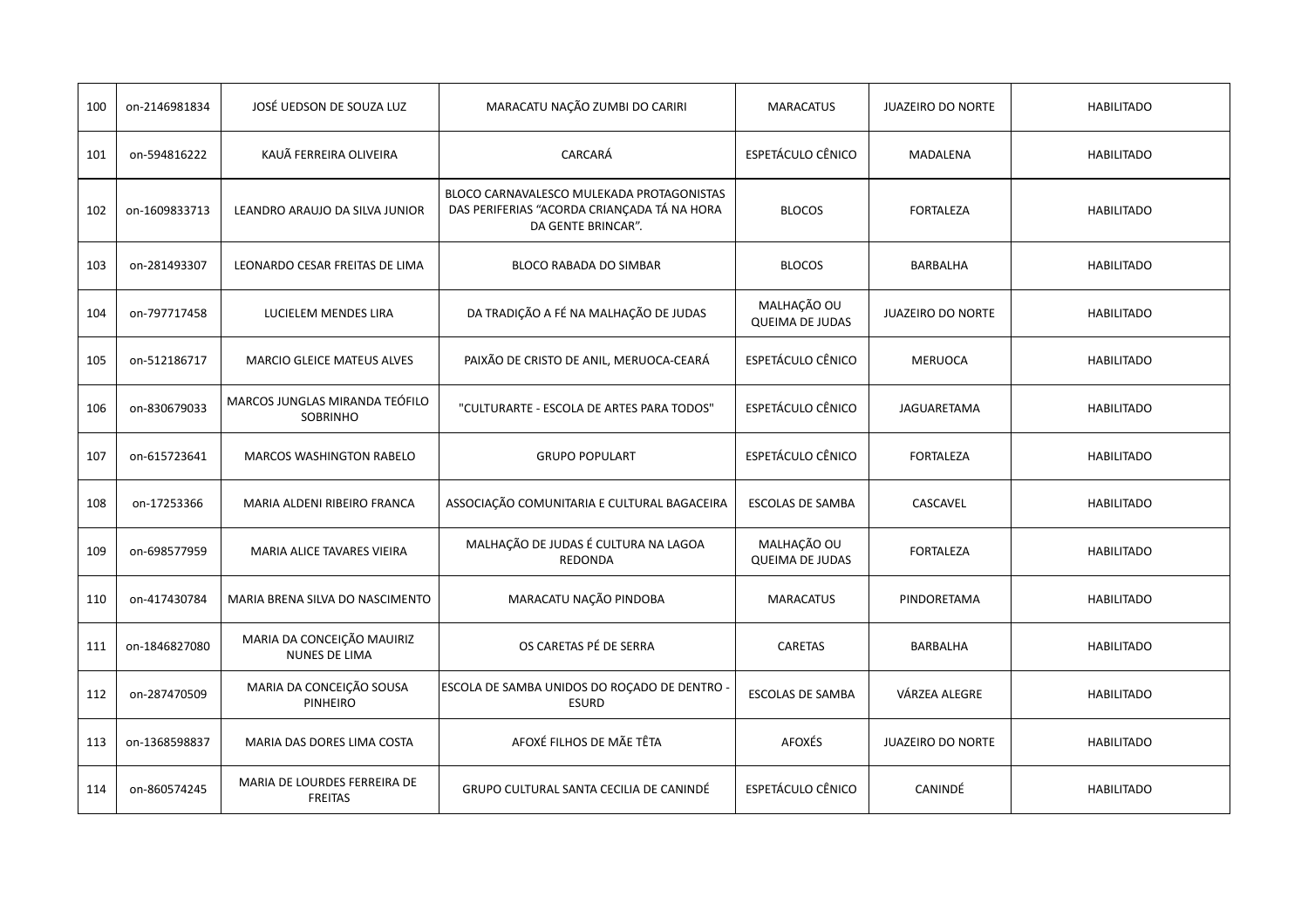| 100 | on-2146981834 | JOSÉ UEDSON DE SOUZA LUZ                           | MARACATU NAÇÃO ZUMBI DO CARIRI                                                                                 | <b>MARACATUS</b>                      | <b>JUAZEIRO DO NORTE</b> | <b>HABILITADO</b> |
|-----|---------------|----------------------------------------------------|----------------------------------------------------------------------------------------------------------------|---------------------------------------|--------------------------|-------------------|
| 101 | on-594816222  | KAUÃ FERREIRA OLIVEIRA                             | CARCARÁ                                                                                                        | ESPETÁCULO CÊNICO                     | <b>MADALENA</b>          | <b>HABILITADO</b> |
| 102 | on-1609833713 | LEANDRO ARAUJO DA SILVA JUNIOR                     | BLOCO CARNAVALESCO MULEKADA PROTAGONISTAS<br>DAS PERIFERIAS "ACORDA CRIANÇADA TÁ NA HORA<br>DA GENTE BRINCAR". | <b>BLOCOS</b>                         | FORTALEZA                | <b>HABILITADO</b> |
| 103 | on-281493307  | LEONARDO CESAR FREITAS DE LIMA                     | BLOCO RABADA DO SIMBAR                                                                                         | <b>BLOCOS</b>                         | <b>BARBALHA</b>          | <b>HABILITADO</b> |
| 104 | on-797717458  | LUCIELEM MENDES LIRA                               | DA TRADIÇÃO A FÉ NA MALHAÇÃO DE JUDAS                                                                          | MALHAÇÃO OU<br><b>QUEIMA DE JUDAS</b> | <b>JUAZEIRO DO NORTE</b> | <b>HABILITADO</b> |
| 105 | on-512186717  | <b>MARCIO GLEICE MATEUS ALVES</b>                  | PAIXÃO DE CRISTO DE ANIL, MERUOCA-CEARÁ                                                                        | ESPETÁCULO CÊNICO                     | <b>MERUOCA</b>           | <b>HABILITADO</b> |
| 106 | on-830679033  | MARCOS JUNGLAS MIRANDA TEÓFILO<br>SOBRINHO         | "CULTURARTE - ESCOLA DE ARTES PARA TODOS"                                                                      | ESPETÁCULO CÊNICO                     | JAGUARETAMA              | <b>HABILITADO</b> |
| 107 | on-615723641  | <b>MARCOS WASHINGTON RABELO</b>                    | <b>GRUPO POPULART</b>                                                                                          | ESPETÁCULO CÊNICO                     | <b>FORTALEZA</b>         | <b>HABILITADO</b> |
| 108 | on-17253366   | MARIA ALDENI RIBEIRO FRANCA                        | ASSOCIAÇÃO COMUNITARIA E CULTURAL BAGACEIRA                                                                    | <b>ESCOLAS DE SAMBA</b>               | CASCAVEL                 | <b>HABILITADO</b> |
| 109 | on-698577959  | MARIA ALICE TAVARES VIEIRA                         | MALHAÇÃO DE JUDAS É CULTURA NA LAGOA<br><b>REDONDA</b>                                                         | MALHAÇÃO OU<br><b>QUEIMA DE JUDAS</b> | <b>FORTALEZA</b>         | <b>HABILITADO</b> |
| 110 | on-417430784  | MARIA BRENA SILVA DO NASCIMENTO                    | MARACATU NAÇÃO PINDOBA                                                                                         | <b>MARACATUS</b>                      | PINDORETAMA              | <b>HABILITADO</b> |
| 111 | on-1846827080 | MARIA DA CONCEIÇÃO MAUIRIZ<br><b>NUNES DE LIMA</b> | OS CARETAS PÉ DE SERRA                                                                                         | CARETAS                               | BARBALHA                 | <b>HABILITADO</b> |
| 112 | on-287470509  | MARIA DA CONCEIÇÃO SOUSA<br>PINHEIRO               | ESCOLA DE SAMBA UNIDOS DO ROÇADO DE DENTRO<br><b>ESURD</b>                                                     | <b>ESCOLAS DE SAMBA</b>               | VÁRZEA ALEGRE            | <b>HABILITADO</b> |
| 113 | on-1368598837 | MARIA DAS DORES LIMA COSTA                         | AFOXÉ FILHOS DE MÃE TÊTA                                                                                       | AFOXÉS                                | <b>JUAZEIRO DO NORTE</b> | <b>HABILITADO</b> |
| 114 | on-860574245  | MARIA DE LOURDES FERREIRA DE<br><b>FREITAS</b>     | GRUPO CULTURAL SANTA CECILIA DE CANINDÉ                                                                        | <b>ESPETÁCULO CÊNICO</b>              | <b>CANINDÉ</b>           | <b>HABILITADO</b> |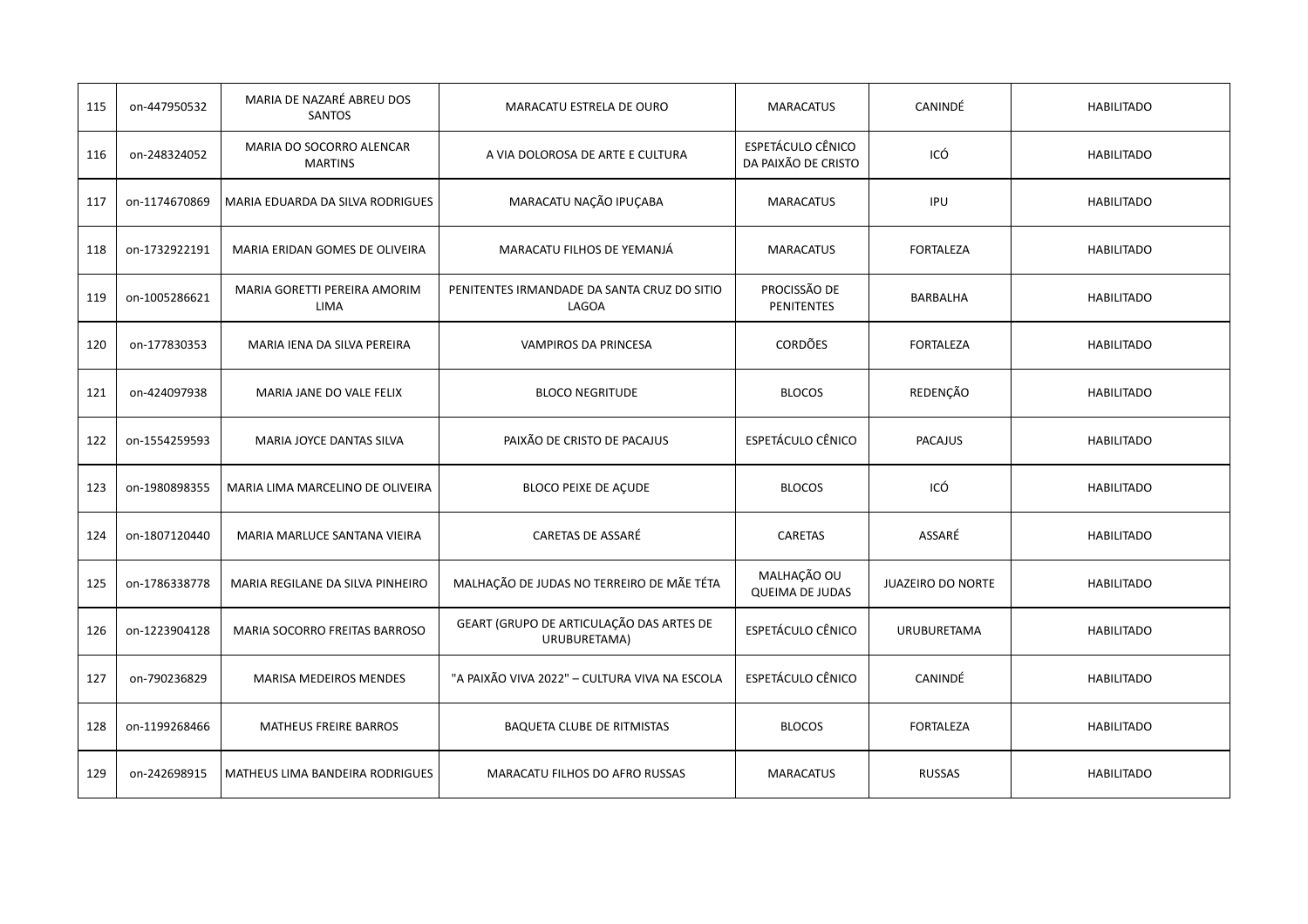| 115 | on-447950532  | MARIA DE NAZARÉ ABREU DOS<br>SANTOS         | MARACATU ESTRELA DE OURO                                 | <b>MARACATUS</b>                                | CANINDÉ            | <b>HABILITADO</b> |
|-----|---------------|---------------------------------------------|----------------------------------------------------------|-------------------------------------------------|--------------------|-------------------|
| 116 | on-248324052  | MARIA DO SOCORRO ALENCAR<br><b>MARTINS</b>  | A VIA DOLOROSA DE ARTE E CULTURA                         | <b>ESPETÁCULO CÊNICO</b><br>DA PAIXÃO DE CRISTO | ICÓ                | <b>HABILITADO</b> |
| 117 | on-1174670869 | MARIA EDUARDA DA SILVA RODRIGUES            | MARACATU NAÇÃO IPUÇABA                                   | <b>MARACATUS</b>                                | IPU                | <b>HABILITADO</b> |
| 118 | on-1732922191 | MARIA ERIDAN GOMES DE OLIVEIRA              | MARACATU FILHOS DE YEMANJÁ                               | <b>MARACATUS</b>                                | <b>FORTALEZA</b>   | <b>HABILITADO</b> |
| 119 | on-1005286621 | MARIA GORETTI PEREIRA AMORIM<br><b>LIMA</b> | PENITENTES IRMANDADE DA SANTA CRUZ DO SITIO<br>LAGOA     | PROCISSÃO DE<br><b>PENITENTES</b>               | BARBALHA           | <b>HABILITADO</b> |
| 120 | on-177830353  | MARIA IENA DA SILVA PEREIRA                 | VAMPIROS DA PRINCESA                                     | <b>CORDÕES</b>                                  | <b>FORTALEZA</b>   | <b>HABILITADO</b> |
| 121 | on-424097938  | MARIA JANE DO VALE FELIX                    | <b>BLOCO NEGRITUDE</b>                                   | <b>BLOCOS</b>                                   | REDENÇÃO           | <b>HABILITADO</b> |
| 122 | on-1554259593 | MARIA JOYCE DANTAS SILVA                    | PAIXÃO DE CRISTO DE PACAJUS                              | ESPETÁCULO CÊNICO                               | <b>PACAJUS</b>     | <b>HABILITADO</b> |
| 123 | on-1980898355 | MARIA LIMA MARCELINO DE OLIVEIRA            | BLOCO PEIXE DE AÇUDE                                     | <b>BLOCOS</b>                                   | ICÓ                | <b>HABILITADO</b> |
| 124 | on-1807120440 | MARIA MARLUCE SANTANA VIEIRA                | CARETAS DE ASSARÉ                                        | CARETAS                                         | ASSARÉ             | <b>HABILITADO</b> |
| 125 | on-1786338778 | MARIA REGILANE DA SILVA PINHEIRO            | MALHAÇÃO DE JUDAS NO TERREIRO DE MÃE TÉTA                | MALHAÇÃO OU<br><b>QUEIMA DE JUDAS</b>           | JUAZEIRO DO NORTE  | <b>HABILITADO</b> |
| 126 | on-1223904128 | MARIA SOCORRO FREITAS BARROSO               | GEART (GRUPO DE ARTICULAÇÃO DAS ARTES DE<br>URUBURETAMA) | ESPETÁCULO CÊNICO                               | <b>URUBURETAMA</b> | <b>HABILITADO</b> |
| 127 | on-790236829  | <b>MARISA MEDEIROS MENDES</b>               | "A PAIXÃO VIVA 2022" - CULTURA VIVA NA ESCOLA            | ESPETÁCULO CÊNICO                               | CANINDÉ            | <b>HABILITADO</b> |
| 128 | on-1199268466 | <b>MATHEUS FREIRE BARROS</b>                | BAQUETA CLUBE DE RITMISTAS                               | <b>BLOCOS</b>                                   | <b>FORTALEZA</b>   | <b>HABILITADO</b> |
| 129 | on-242698915  | MATHEUS LIMA BANDEIRA RODRIGUES             | MARACATU FILHOS DO AFRO RUSSAS                           | <b>MARACATUS</b>                                | <b>RUSSAS</b>      | <b>HABILITADO</b> |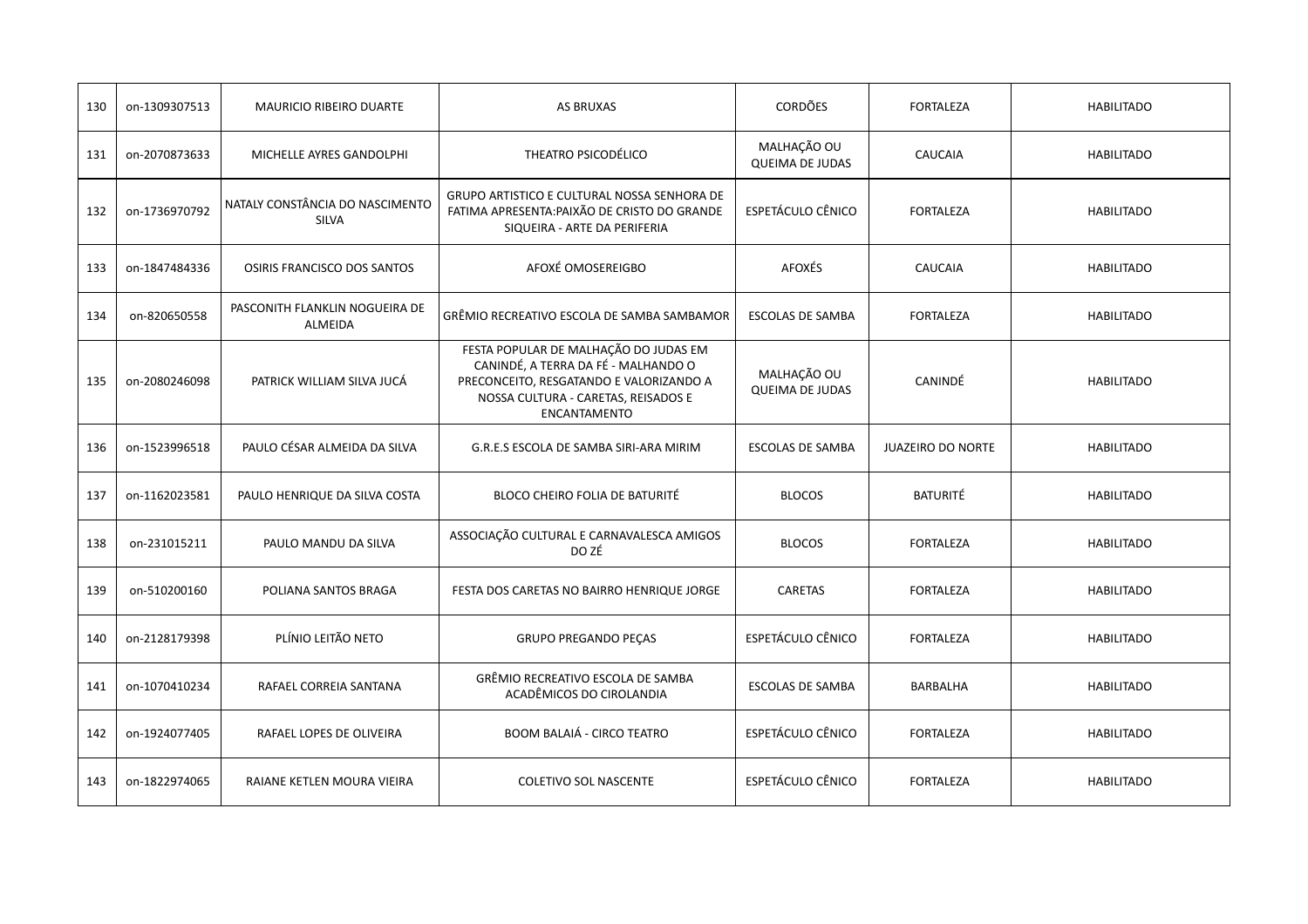| 130 | on-1309307513 | <b>MAURICIO RIBEIRO DUARTE</b>                  | <b>AS BRUXAS</b>                                                                                                                                                               | <b>CORDÕES</b>                        | <b>FORTALEZA</b>         | <b>HABILITADO</b> |
|-----|---------------|-------------------------------------------------|--------------------------------------------------------------------------------------------------------------------------------------------------------------------------------|---------------------------------------|--------------------------|-------------------|
| 131 | on-2070873633 | MICHELLE AYRES GANDOLPHI                        | THEATRO PSICODÉLICO                                                                                                                                                            | MALHAÇÃO OU<br><b>QUEIMA DE JUDAS</b> | CAUCAIA                  | <b>HABILITADO</b> |
| 132 | on-1736970792 | NATALY CONSTÂNCIA DO NASCIMENTO<br><b>SILVA</b> | GRUPO ARTISTICO E CULTURAL NOSSA SENHORA DE<br>FATIMA APRESENTA: PAIXÃO DE CRISTO DO GRANDE<br>SIQUEIRA - ARTE DA PERIFERIA                                                    | ESPETÁCULO CÊNICO                     | <b>FORTALEZA</b>         | <b>HABILITADO</b> |
| 133 | on-1847484336 | OSIRIS FRANCISCO DOS SANTOS                     | AFOXÉ OMOSEREIGBO                                                                                                                                                              | <b>AFOXÉS</b>                         | <b>CAUCAIA</b>           | <b>HABILITADO</b> |
| 134 | on-820650558  | PASCONITH FLANKLIN NOGUEIRA DE<br>ALMEIDA       | GRÊMIO RECREATIVO ESCOLA DE SAMBA SAMBAMOR                                                                                                                                     | <b>ESCOLAS DE SAMBA</b>               | <b>FORTALEZA</b>         | <b>HABILITADO</b> |
| 135 | on-2080246098 | PATRICK WILLIAM SILVA JUCÁ                      | FESTA POPULAR DE MALHAÇÃO DO JUDAS EM<br>CANINDÉ, A TERRA DA FÉ - MALHANDO O<br>PRECONCEITO, RESGATANDO E VALORIZANDO A<br>NOSSA CULTURA - CARETAS, REISADOS E<br>ENCANTAMENTO | MALHAÇÃO OU<br><b>QUEIMA DE JUDAS</b> | CANINDÉ                  | <b>HABILITADO</b> |
| 136 | on-1523996518 | PAULO CÉSAR ALMEIDA DA SILVA                    | G.R.E.S ESCOLA DE SAMBA SIRI-ARA MIRIM                                                                                                                                         | <b>ESCOLAS DE SAMBA</b>               | <b>JUAZEIRO DO NORTE</b> | <b>HABILITADO</b> |
| 137 | on-1162023581 | PAULO HENRIQUE DA SILVA COSTA                   | <b>BLOCO CHEIRO FOLIA DE BATURITÉ</b>                                                                                                                                          | <b>BLOCOS</b>                         | <b>BATURITÉ</b>          | <b>HABILITADO</b> |
| 138 | on-231015211  | PAULO MANDU DA SILVA                            | ASSOCIAÇÃO CULTURAL E CARNAVALESCA AMIGOS<br>DO ZÉ                                                                                                                             | <b>BLOCOS</b>                         | <b>FORTALEZA</b>         | <b>HABILITADO</b> |
| 139 | on-510200160  | POLIANA SANTOS BRAGA                            | FESTA DOS CARETAS NO BAIRRO HENRIQUE JORGE                                                                                                                                     | CARETAS                               | <b>FORTALEZA</b>         | <b>HABILITADO</b> |
| 140 | on-2128179398 | PLÍNIO LEITÃO NETO                              | GRUPO PREGANDO PEÇAS                                                                                                                                                           | ESPETÁCULO CÊNICO                     | <b>FORTALEZA</b>         | <b>HABILITADO</b> |
| 141 | on-1070410234 | RAFAEL CORREIA SANTANA                          | GRÊMIO RECREATIVO ESCOLA DE SAMBA<br>ACADÊMICOS DO CIROLANDIA                                                                                                                  | <b>ESCOLAS DE SAMBA</b>               | <b>BARBALHA</b>          | <b>HABILITADO</b> |
| 142 | on-1924077405 | RAFAEL LOPES DE OLIVEIRA                        | <b>BOOM BALAIÁ - CIRCO TEATRO</b>                                                                                                                                              | ESPETÁCULO CÊNICO                     | <b>FORTALEZA</b>         | <b>HABILITADO</b> |
| 143 | on-1822974065 | RAIANE KETLEN MOURA VIEIRA                      | <b>COLETIVO SOL NASCENTE</b>                                                                                                                                                   | ESPETÁCULO CÊNICO                     | FORTALEZA                | <b>HABILITADO</b> |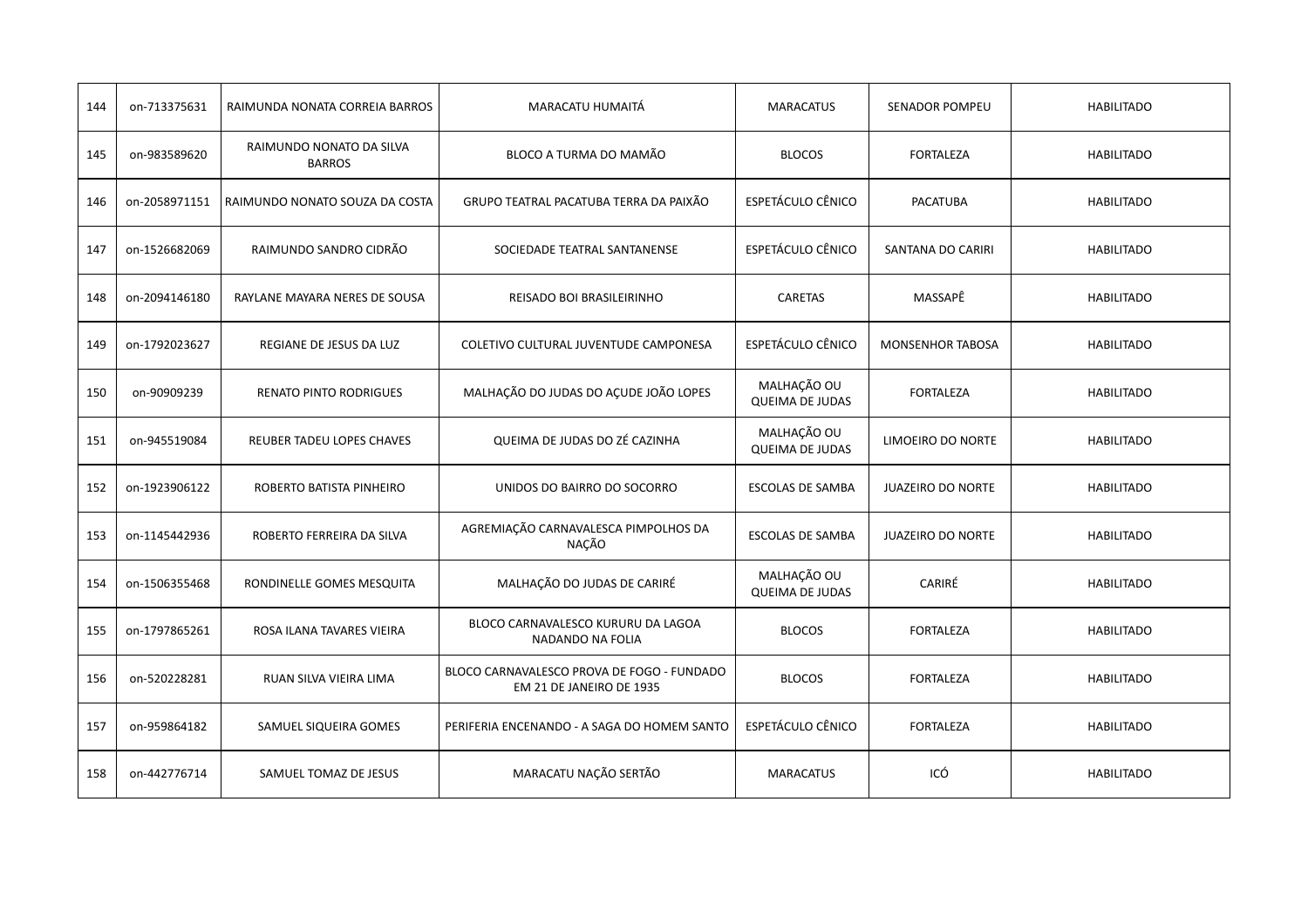| 144 | on-713375631  | RAIMUNDA NONATA CORREIA BARROS            | MARACATU HUMAITÁ                                                       | <b>MARACATUS</b>                      | <b>SENADOR POMPEU</b>    | <b>HABILITADO</b> |
|-----|---------------|-------------------------------------------|------------------------------------------------------------------------|---------------------------------------|--------------------------|-------------------|
| 145 | on-983589620  | RAIMUNDO NONATO DA SILVA<br><b>BARROS</b> | BLOCO A TURMA DO MAMÃO                                                 | <b>BLOCOS</b>                         | <b>FORTALEZA</b>         | <b>HABILITADO</b> |
| 146 | on-2058971151 | RAIMUNDO NONATO SOUZA DA COSTA            | GRUPO TEATRAL PACATUBA TERRA DA PAIXÃO                                 | ESPETÁCULO CÊNICO                     | <b>PACATUBA</b>          | <b>HABILITADO</b> |
| 147 | on-1526682069 | RAIMUNDO SANDRO CIDRÃO                    | SOCIEDADE TEATRAL SANTANENSE                                           | ESPETÁCULO CÊNICO                     | SANTANA DO CARIRI        | <b>HABILITADO</b> |
| 148 | on-2094146180 | RAYLANE MAYARA NERES DE SOUSA             | REISADO BOI BRASILEIRINHO                                              | CARETAS                               | MASSAPÊ                  | <b>HABILITADO</b> |
| 149 | on-1792023627 | REGIANE DE JESUS DA LUZ                   | COLETIVO CULTURAL JUVENTUDE CAMPONESA                                  | ESPETÁCULO CÊNICO                     | <b>MONSENHOR TABOSA</b>  | <b>HABILITADO</b> |
| 150 | on-90909239   | RENATO PINTO RODRIGUES                    | MALHAÇÃO DO JUDAS DO AÇUDE JOÃO LOPES                                  | MALHAÇÃO OU<br><b>QUEIMA DE JUDAS</b> | <b>FORTALEZA</b>         | <b>HABILITADO</b> |
| 151 | on-945519084  | REUBER TADEU LOPES CHAVES                 | QUEIMA DE JUDAS DO ZÉ CAZINHA                                          | MALHAÇÃO OU<br><b>QUEIMA DE JUDAS</b> | LIMOEIRO DO NORTE        | <b>HABILITADO</b> |
| 152 | on-1923906122 | ROBERTO BATISTA PINHEIRO                  | UNIDOS DO BAIRRO DO SOCORRO                                            | <b>ESCOLAS DE SAMBA</b>               | <b>JUAZEIRO DO NORTE</b> | <b>HABILITADO</b> |
| 153 | on-1145442936 | ROBERTO FERREIRA DA SILVA                 | AGREMIAÇÃO CARNAVALESCA PIMPOLHOS DA<br><b>NACÃO</b>                   | <b>ESCOLAS DE SAMBA</b>               | <b>JUAZEIRO DO NORTE</b> | <b>HABILITADO</b> |
| 154 | on-1506355468 | RONDINELLE GOMES MESQUITA                 | MALHAÇÃO DO JUDAS DE CARIRÉ                                            | MALHAÇÃO OU<br><b>QUEIMA DE JUDAS</b> | CARIRÉ                   | <b>HABILITADO</b> |
| 155 | on-1797865261 | ROSA ILANA TAVARES VIEIRA                 | BLOCO CARNAVALESCO KURURU DA LAGOA<br>NADANDO NA FOLIA                 | <b>BLOCOS</b>                         | <b>FORTALEZA</b>         | <b>HABILITADO</b> |
| 156 | on-520228281  | RUAN SILVA VIEIRA LIMA                    | BLOCO CARNAVALESCO PROVA DE FOGO - FUNDADO<br>EM 21 DE JANEIRO DE 1935 | <b>BLOCOS</b>                         | <b>FORTALEZA</b>         | <b>HABILITADO</b> |
| 157 | on-959864182  | SAMUEL SIQUEIRA GOMES                     | PERIFERIA ENCENANDO - A SAGA DO HOMEM SANTO                            | ESPETÁCULO CÊNICO                     | <b>FORTALEZA</b>         | <b>HABILITADO</b> |
| 158 | on-442776714  | SAMUEL TOMAZ DE JESUS                     | MARACATU NAÇÃO SERTÃO                                                  | <b>MARACATUS</b>                      | ICÓ                      | <b>HABILITADO</b> |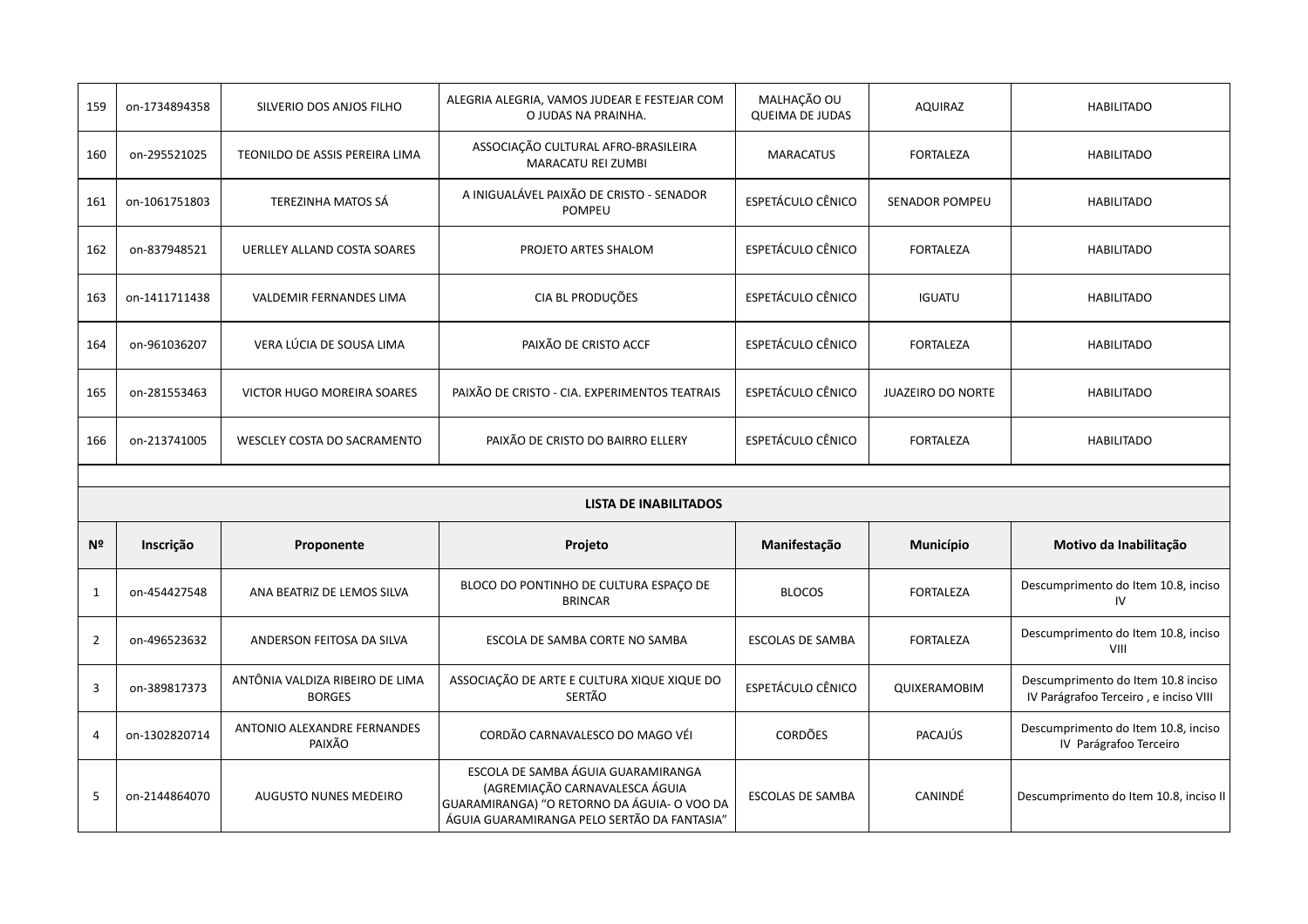| 159            | on-1734894358                | SILVERIO DOS ANJOS FILHO                         | ALEGRIA ALEGRIA, VAMOS JUDEAR E FESTEJAR COM<br>O JUDAS NA PRAINHA. | MALHAÇÃO OU<br><b>QUEIMA DE JUDAS</b> | <b>AQUIRAZ</b>           | <b>HABILITADO</b>                                                           |  |  |
|----------------|------------------------------|--------------------------------------------------|---------------------------------------------------------------------|---------------------------------------|--------------------------|-----------------------------------------------------------------------------|--|--|
| 160            | on-295521025                 | TEONILDO DE ASSIS PEREIRA LIMA                   | ASSOCIAÇÃO CULTURAL AFRO-BRASILEIRA<br>MARACATU REI ZUMBI           | <b>MARACATUS</b>                      | <b>FORTALEZA</b>         | <b>HABILITADO</b>                                                           |  |  |
| 161            | on-1061751803                | TEREZINHA MATOS SÁ                               | A INIGUALÁVEL PAIXÃO DE CRISTO - SENADOR<br><b>POMPEU</b>           | ESPETÁCULO CÊNICO                     | <b>SENADOR POMPEU</b>    | <b>HABILITADO</b>                                                           |  |  |
| 162            | on-837948521                 | <b>UERLLEY ALLAND COSTA SOARES</b>               | PROJETO ARTES SHALOM                                                | <b>ESPETÁCULO CÊNICO</b>              | <b>FORTALEZA</b>         | <b>HABILITADO</b>                                                           |  |  |
| 163            | on-1411711438                | VALDEMIR FERNANDES LIMA                          | CIA BL PRODUÇÕES                                                    | ESPETÁCULO CÊNICO                     | <b>IGUATU</b>            | <b>HABILITADO</b>                                                           |  |  |
| 164            | on-961036207                 | VERA LÚCIA DE SOUSA LIMA                         | PAIXÃO DE CRISTO ACCF                                               | ESPETÁCULO CÊNICO                     | <b>FORTALEZA</b>         | <b>HABILITADO</b>                                                           |  |  |
| 165            | on-281553463                 | VICTOR HUGO MOREIRA SOARES                       | PAIXÃO DE CRISTO - CIA. EXPERIMENTOS TEATRAIS                       | <b>ESPETÁCULO CÊNICO</b>              | <b>JUAZEIRO DO NORTE</b> | <b>HABILITADO</b>                                                           |  |  |
| 166            | on-213741005                 | WESCLEY COSTA DO SACRAMENTO                      | PAIXÃO DE CRISTO DO BAIRRO ELLERY                                   | ESPETÁCULO CÊNICO                     | <b>FORTALEZA</b>         | <b>HABILITADO</b>                                                           |  |  |
|                |                              |                                                  |                                                                     |                                       |                          |                                                                             |  |  |
|                | <b>LISTA DE INABILITADOS</b> |                                                  |                                                                     |                                       |                          |                                                                             |  |  |
|                |                              |                                                  |                                                                     |                                       |                          |                                                                             |  |  |
| Nº             | Inscrição                    | Proponente                                       | Projeto                                                             | Manifestação                          | Município                | Motivo da Inabilitação                                                      |  |  |
| $\mathbf{1}$   | on-454427548                 | ANA BEATRIZ DE LEMOS SILVA                       | BLOCO DO PONTINHO DE CULTURA ESPAÇO DE<br><b>BRINCAR</b>            | <b>BLOCOS</b>                         | <b>FORTALEZA</b>         | Descumprimento do Item 10.8, inciso<br>IV                                   |  |  |
| $\overline{2}$ | on-496523632                 | ANDERSON FEITOSA DA SILVA                        | ESCOLA DE SAMBA CORTE NO SAMBA                                      | <b>ESCOLAS DE SAMBA</b>               | <b>FORTALEZA</b>         | Descumprimento do Item 10.8, inciso<br>VIII                                 |  |  |
| $\overline{3}$ | on-389817373                 | ANTÔNIA VALDIZA RIBEIRO DE LIMA<br><b>BORGES</b> | ASSOCIAÇÃO DE ARTE E CULTURA XIQUE XIQUE DO<br>SERTÃO               | ESPETÁCULO CÊNICO                     | QUIXERAMOBIM             | Descumprimento do Item 10.8 inciso<br>IV Parágrafoo Terceiro, e inciso VIII |  |  |
| 4              | on-1302820714                | ANTONIO ALEXANDRE FERNANDES<br>PAIXÃO            | CORDÃO CARNAVALESCO DO MAGO VÉI                                     | <b>CORDÕES</b>                        | PACAJÚS                  | Descumprimento do Item 10.8, inciso<br>IV Parágrafoo Terceiro               |  |  |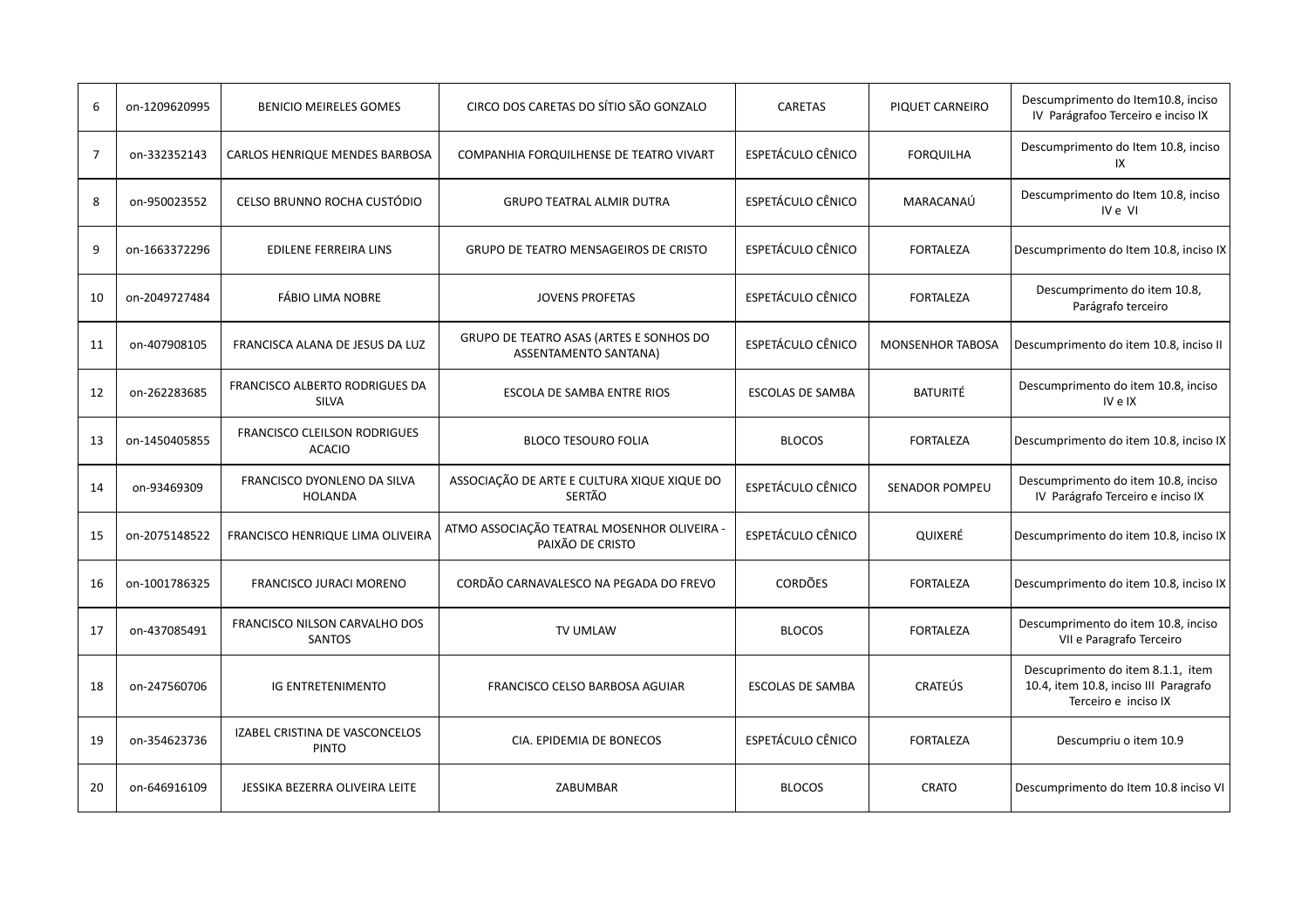| 6              | on-1209620995 | <b>BENICIO MEIRELES GOMES</b>                        | CIRCO DOS CARETAS DO SÍTIO SÃO GONZALO                           | <b>CARETAS</b>           | PIQUET CARNEIRO         | Descumprimento do Item10.8, inciso<br>IV Parágrafoo Terceiro e inciso IX                           |
|----------------|---------------|------------------------------------------------------|------------------------------------------------------------------|--------------------------|-------------------------|----------------------------------------------------------------------------------------------------|
| $\overline{7}$ | on-332352143  | CARLOS HENRIQUE MENDES BARBOSA                       | COMPANHIA FORQUILHENSE DE TEATRO VIVART                          | ESPETÁCULO CÊNICO        | <b>FORQUILHA</b>        | Descumprimento do Item 10.8, inciso<br>IX                                                          |
| 8              | on-950023552  | CELSO BRUNNO ROCHA CUSTÓDIO                          | <b>GRUPO TEATRAL ALMIR DUTRA</b>                                 | ESPETÁCULO CÊNICO        | MARACANAÚ               | Descumprimento do Item 10.8, inciso<br>IV e VI                                                     |
| 9              | on-1663372296 | <b>EDILENE FERREIRA LINS</b>                         | GRUPO DE TEATRO MENSAGEIROS DE CRISTO                            | ESPETÁCULO CÊNICO        | <b>FORTALEZA</b>        | Descumprimento do Item 10.8, inciso IX                                                             |
| 10             | on-2049727484 | <b>FÁBIO LIMA NOBRE</b>                              | <b>JOVENS PROFETAS</b>                                           | <b>ESPETÁCULO CÊNICO</b> | <b>FORTALEZA</b>        | Descumprimento do item 10.8,<br>Parágrafo terceiro                                                 |
| 11             | on-407908105  | FRANCISCA ALANA DE JESUS DA LUZ                      | GRUPO DE TEATRO ASAS (ARTES E SONHOS DO<br>ASSENTAMENTO SANTANA) | <b>ESPETÁCULO CÊNICO</b> | <b>MONSENHOR TABOSA</b> | Descumprimento do item 10.8, inciso II                                                             |
| 12             | on-262283685  | FRANCISCO ALBERTO RODRIGUES DA<br><b>SILVA</b>       | ESCOLA DE SAMBA ENTRE RIOS                                       | <b>ESCOLAS DE SAMBA</b>  | <b>BATURITÉ</b>         | Descumprimento do item 10.8, inciso<br>IV e IX                                                     |
| 13             | on-1450405855 | <b>FRANCISCO CLEILSON RODRIGUES</b><br><b>ACACIO</b> | <b>BLOCO TESOURO FOLIA</b>                                       | <b>BLOCOS</b>            | <b>FORTALEZA</b>        | Descumprimento do item 10.8, inciso IX                                                             |
| 14             | on-93469309   | FRANCISCO DYONLENO DA SILVA<br><b>HOLANDA</b>        | ASSOCIAÇÃO DE ARTE E CULTURA XIQUE XIQUE DO<br>SERTÃO            | ESPETÁCULO CÊNICO        | <b>SENADOR POMPEU</b>   | Descumprimento do item 10.8, inciso<br>IV Parágrafo Terceiro e inciso IX                           |
| 15             | on-2075148522 | FRANCISCO HENRIQUE LIMA OLIVEIRA                     | ATMO ASSOCIAÇÃO TEATRAL MOSENHOR OLIVEIRA -<br>PAIXÃO DE CRISTO  | <b>ESPETÁCULO CÊNICO</b> | QUIXERÉ                 | Descumprimento do item 10.8, inciso IX                                                             |
| 16             | on-1001786325 | <b>FRANCISCO JURACI MORENO</b>                       | CORDÃO CARNAVALESCO NA PEGADA DO FREVO                           | <b>CORDÕES</b>           | <b>FORTALEZA</b>        | Descumprimento do item 10.8, inciso IX                                                             |
| 17             | on-437085491  | FRANCISCO NILSON CARVALHO DOS<br><b>SANTOS</b>       | TV UMLAW                                                         | <b>BLOCOS</b>            | <b>FORTALEZA</b>        | Descumprimento do item 10.8, inciso<br>VII e Paragrafo Terceiro                                    |
| 18             | on-247560706  | <b>IG ENTRETENIMENTO</b>                             | FRANCISCO CELSO BARBOSA AGUIAR                                   | <b>ESCOLAS DE SAMBA</b>  | <b>CRATEUS</b>          | Descuprimento do item 8.1.1, item<br>10.4, item 10.8, inciso III Paragrafo<br>Terceiro e inciso IX |
| 19             | on-354623736  | IZABEL CRISTINA DE VASCONCELOS<br><b>PINTO</b>       | CIA. EPIDEMIA DE BONECOS                                         | ESPETÁCULO CÊNICO        | <b>FORTALEZA</b>        | Descumpriu o item 10.9                                                                             |
| 20             | on-646916109  | JESSIKA BEZERRA OLIVEIRA LEITE                       | ZABUMBAR                                                         | <b>BLOCOS</b>            | <b>CRATO</b>            | Descumprimento do Item 10.8 inciso VI                                                              |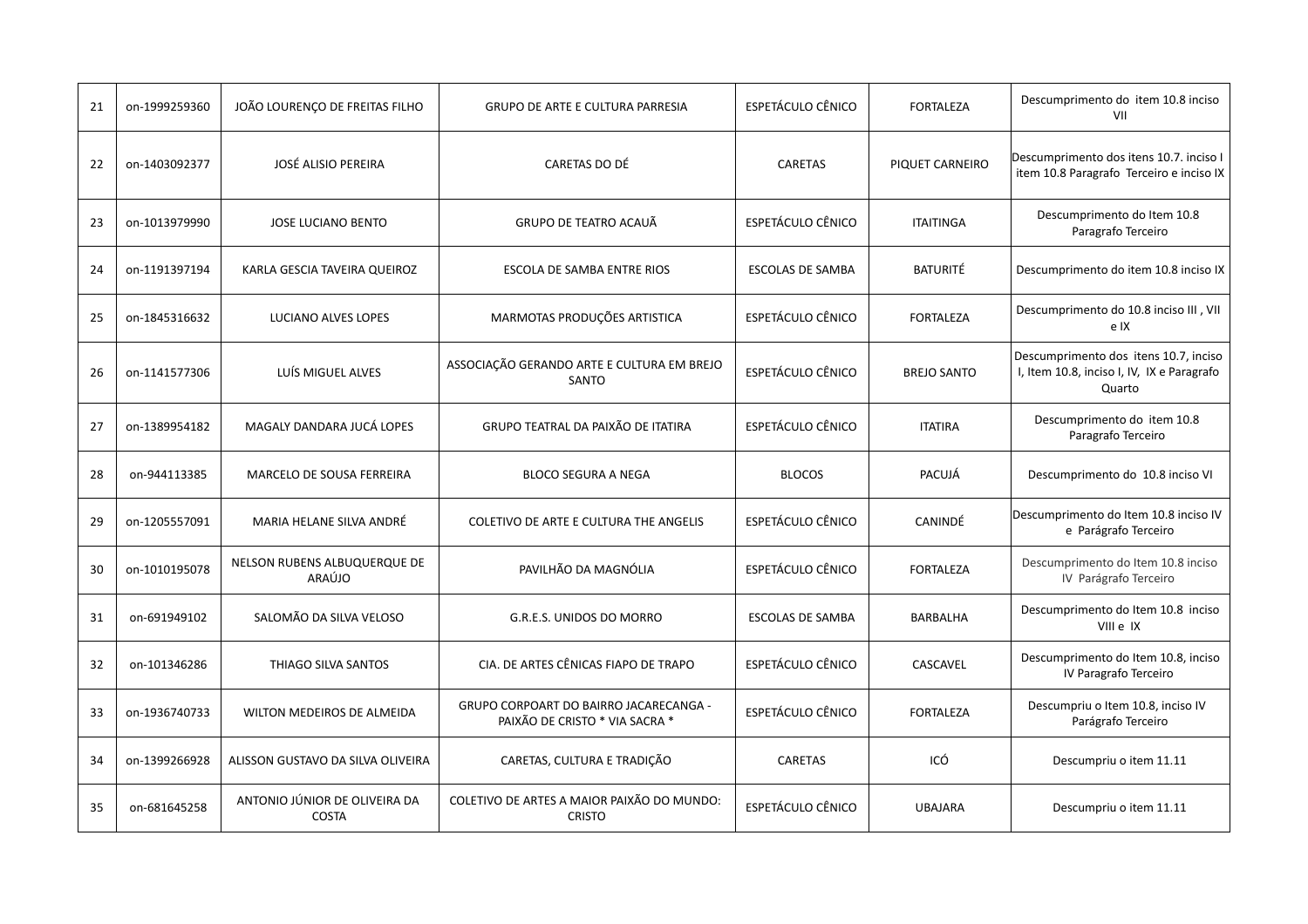| 21 | on-1999259360 | JOÃO LOURENÇO DE FREITAS FILHO                | <b>GRUPO DE ARTE E CULTURA PARRESIA</b>                                  | <b>ESPETÁCULO CÊNICO</b> | <b>FORTALEZA</b>   | Descumprimento do item 10.8 inciso<br>VII                                                     |
|----|---------------|-----------------------------------------------|--------------------------------------------------------------------------|--------------------------|--------------------|-----------------------------------------------------------------------------------------------|
| 22 | on-1403092377 | <b>JOSÉ ALISIO PEREIRA</b>                    | CARETAS DO DÉ                                                            | <b>CARETAS</b>           | PIQUET CARNEIRO    | Descumprimento dos itens 10.7. inciso I<br>item 10.8 Paragrafo Terceiro e inciso IX           |
| 23 | on-1013979990 | <b>JOSE LUCIANO BENTO</b>                     | <b>GRUPO DE TEATRO ACAUÃ</b>                                             | <b>ESPETÁCULO CÊNICO</b> | <b>ITAITINGA</b>   | Descumprimento do Item 10.8<br>Paragrafo Terceiro                                             |
| 24 | on-1191397194 | KARLA GESCIA TAVEIRA QUEIROZ                  | ESCOLA DE SAMBA ENTRE RIOS                                               | <b>ESCOLAS DE SAMBA</b>  | <b>BATURITÉ</b>    | Descumprimento do item 10.8 inciso IX                                                         |
| 25 | on-1845316632 | LUCIANO ALVES LOPES                           | MARMOTAS PRODUÇÕES ARTISTICA                                             | ESPETÁCULO CÊNICO        | <b>FORTALEZA</b>   | Descumprimento do 10.8 inciso III, VII<br>e IX                                                |
| 26 | on-1141577306 | LUÍS MIGUEL ALVES                             | ASSOCIAÇÃO GERANDO ARTE E CULTURA EM BREJO<br>SANTO                      | <b>ESPETÁCULO CÊNICO</b> | <b>BREJO SANTO</b> | Descumprimento dos itens 10.7, inciso<br>I, Item 10.8, inciso I, IV, IX e Paragrafo<br>Quarto |
| 27 | on-1389954182 | MAGALY DANDARA JUCÁ LOPES                     | GRUPO TEATRAL DA PAIXÃO DE ITATIRA                                       | <b>ESPETÁCULO CÊNICO</b> | <b>ITATIRA</b>     | Descumprimento do item 10.8<br>Paragrafo Terceiro                                             |
| 28 | on-944113385  | MARCELO DE SOUSA FERREIRA                     | <b>BLOCO SEGURA A NEGA</b>                                               | <b>BLOCOS</b>            | PACUJÁ             | Descumprimento do 10.8 inciso VI                                                              |
| 29 | on-1205557091 | MARIA HELANE SILVA ANDRÉ                      | COLETIVO DE ARTE E CULTURA THE ANGELIS                                   | <b>ESPETÁCULO CÊNICO</b> | CANINDÉ            | Descumprimento do Item 10.8 inciso IV<br>e Parágrafo Terceiro                                 |
| 30 | on-1010195078 | NELSON RUBENS ALBUQUERQUE DE<br>ARAÚJO        | PAVILHÃO DA MAGNÓLIA                                                     | <b>ESPETÁCULO CÊNICO</b> | <b>FORTALEZA</b>   | Descumprimento do Item 10.8 inciso<br>IV Parágrafo Terceiro                                   |
| 31 | on-691949102  | SALOMÃO DA SILVA VELOSO                       | G.R.E.S. UNIDOS DO MORRO                                                 | <b>ESCOLAS DE SAMBA</b>  | BARBALHA           | Descumprimento do Item 10.8 inciso<br>VIII e IX                                               |
| 32 | on-101346286  | THIAGO SILVA SANTOS                           | CIA. DE ARTES CÊNICAS FIAPO DE TRAPO                                     | ESPETÁCULO CÊNICO        | CASCAVEL           | Descumprimento do Item 10.8, inciso<br>IV Paragrafo Terceiro                                  |
| 33 | on-1936740733 | WILTON MEDEIROS DE ALMEIDA                    | GRUPO CORPOART DO BAIRRO JACARECANGA -<br>PAIXÃO DE CRISTO * VIA SACRA * | ESPETÁCULO CÊNICO        | <b>FORTALEZA</b>   | Descumpriu o Item 10.8, inciso IV<br>Parágrafo Terceiro                                       |
| 34 | on-1399266928 | ALISSON GUSTAVO DA SILVA OLIVEIRA             | CARETAS, CULTURA E TRADIÇÃO                                              | CARETAS                  | ICÓ                | Descumpriu o item 11.11                                                                       |
| 35 | on-681645258  | ANTONIO JÚNIOR DE OLIVEIRA DA<br><b>COSTA</b> | COLETIVO DE ARTES A MAIOR PAIXÃO DO MUNDO:<br><b>CRISTO</b>              | <b>ESPETÁCULO CÊNICO</b> | <b>UBAJARA</b>     | Descumpriu o item 11.11                                                                       |